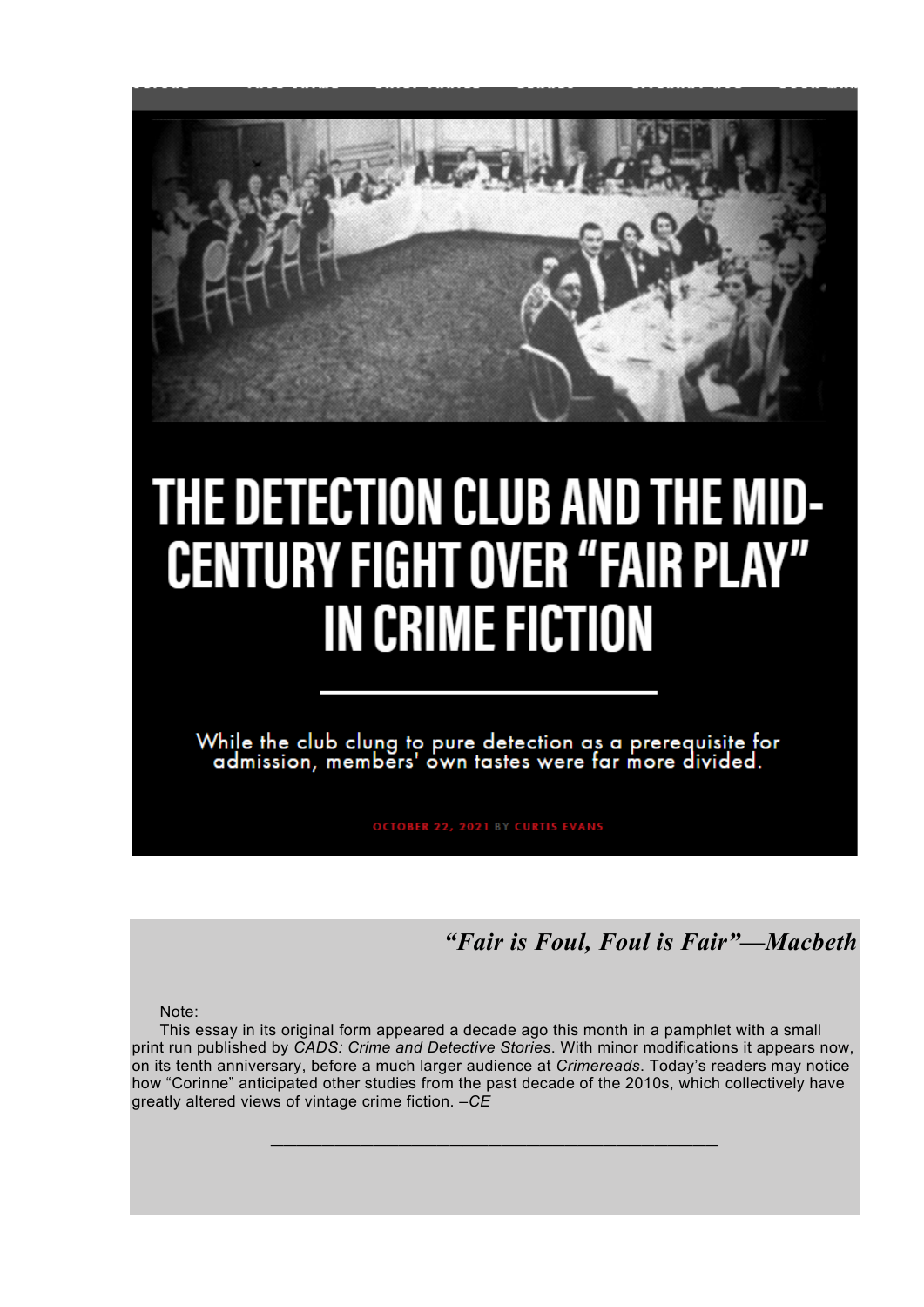

# THE DETECTION CLUB AND THE MID-**CENTURY FIGHT OVER "FAIR PLAY" IN CRIME FICTION**

While the club clung to pure detection as a prerequisite for<br>admission, members' own tastes were far more divided.

*"Fair is Foul, Foul is Fair"—Macbeth*

Note:

This essay in its original form appeared a decade ago this month in a pamphlet with a small print run published by *CADS: Crime and Detective Stories*. With minor modifications it appears now, on its tenth anniversary, before a much larger audience at *Crimereads*. Today's readers may notice how "Corinne" anticipated other studies from the past decade of the 2010s, which collectively have greatly altered views of vintage crime fiction. *–CE*

\_\_\_\_\_\_\_\_\_\_\_\_\_\_\_\_\_\_\_\_\_\_\_\_\_\_\_\_\_\_\_\_\_\_\_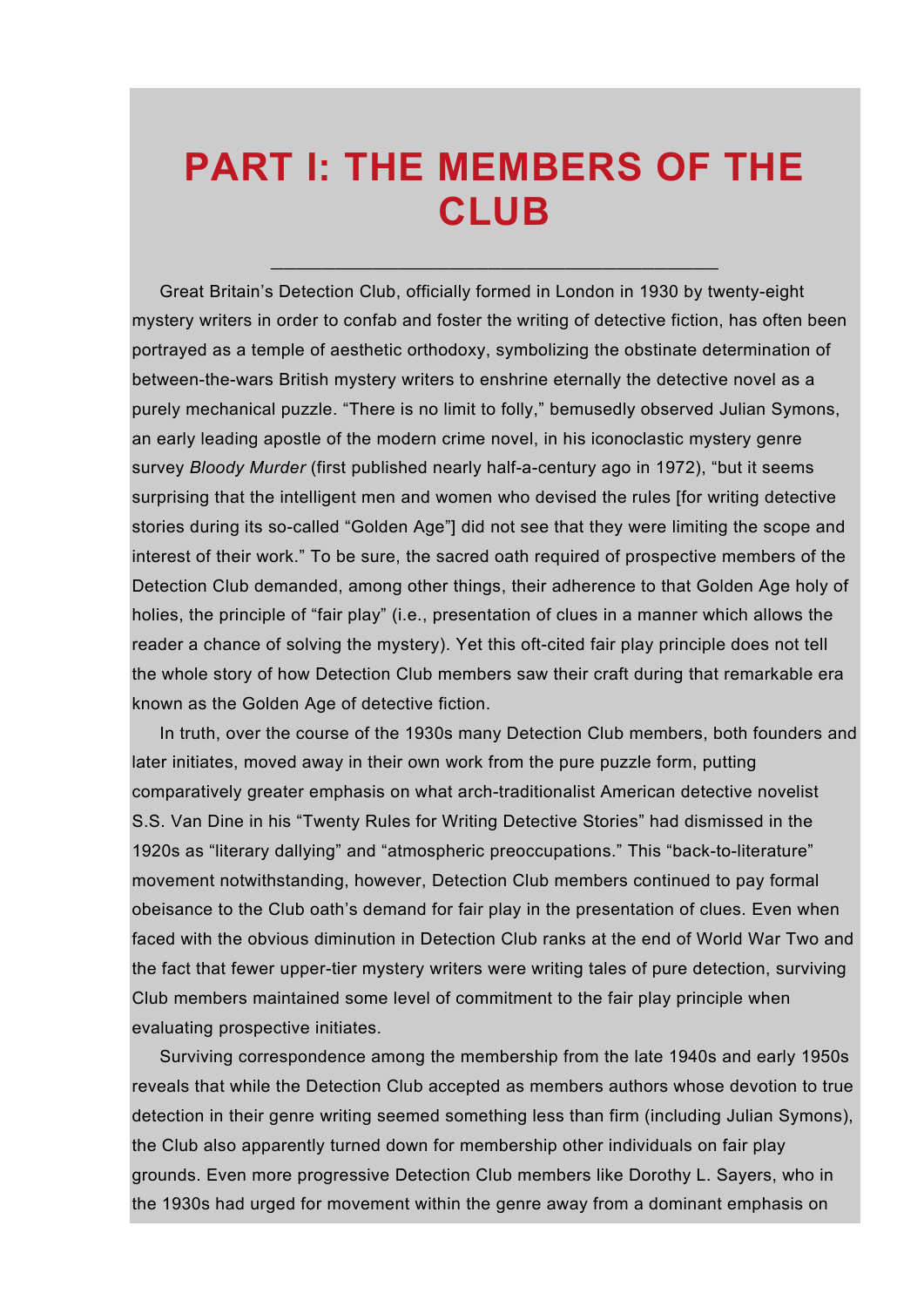### **PART I: THE MEMBERS OF THE CLUB**

\_\_\_\_\_\_\_\_\_\_\_\_\_\_\_\_\_\_\_\_\_\_\_\_\_\_\_\_\_\_\_\_\_\_\_

Great Britain's Detection Club, officially formed in London in 1930 by twenty-eight mystery writers in order to confab and foster the writing of detective fiction, has often been portrayed as a temple of aesthetic orthodoxy, symbolizing the obstinate determination of between-the-wars British mystery writers to enshrine eternally the detective novel as a purely mechanical puzzle. "There is no limit to folly," bemusedly observed Julian Symons, an early leading apostle of the modern crime novel, in his iconoclastic mystery genre survey *Bloody Murder* (first published nearly half-a-century ago in 1972), "but it seems surprising that the intelligent men and women who devised the rules [for writing detective stories during its so-called "Golden Age"] did not see that they were limiting the scope and interest of their work." To be sure, the sacred oath required of prospective members of the Detection Club demanded, among other things, their adherence to that Golden Age holy of holies, the principle of "fair play" (i.e., presentation of clues in a manner which allows the reader a chance of solving the mystery). Yet this oft-cited fair play principle does not tell the whole story of how Detection Club members saw their craft during that remarkable era known as the Golden Age of detective fiction.

In truth, over the course of the 1930s many Detection Club members, both founders and later initiates, moved away in their own work from the pure puzzle form, putting comparatively greater emphasis on what arch-traditionalist American detective novelist S.S. Van Dine in his "Twenty Rules for Writing Detective Stories" had dismissed in the 1920s as "literary dallying" and "atmospheric preoccupations." This "back-to-literature" movement notwithstanding, however, Detection Club members continued to pay formal obeisance to the Club oath's demand for fair play in the presentation of clues. Even when faced with the obvious diminution in Detection Club ranks at the end of World War Two and the fact that fewer upper-tier mystery writers were writing tales of pure detection, surviving Club members maintained some level of commitment to the fair play principle when evaluating prospective initiates.

Surviving correspondence among the membership from the late 1940s and early 1950s reveals that while the Detection Club accepted as members authors whose devotion to true detection in their genre writing seemed something less than firm (including Julian Symons), the Club also apparently turned down for membership other individuals on fair play grounds. Even more progressive Detection Club members like Dorothy L. Sayers, who in the 1930s had urged for movement within the genre away from a dominant emphasis on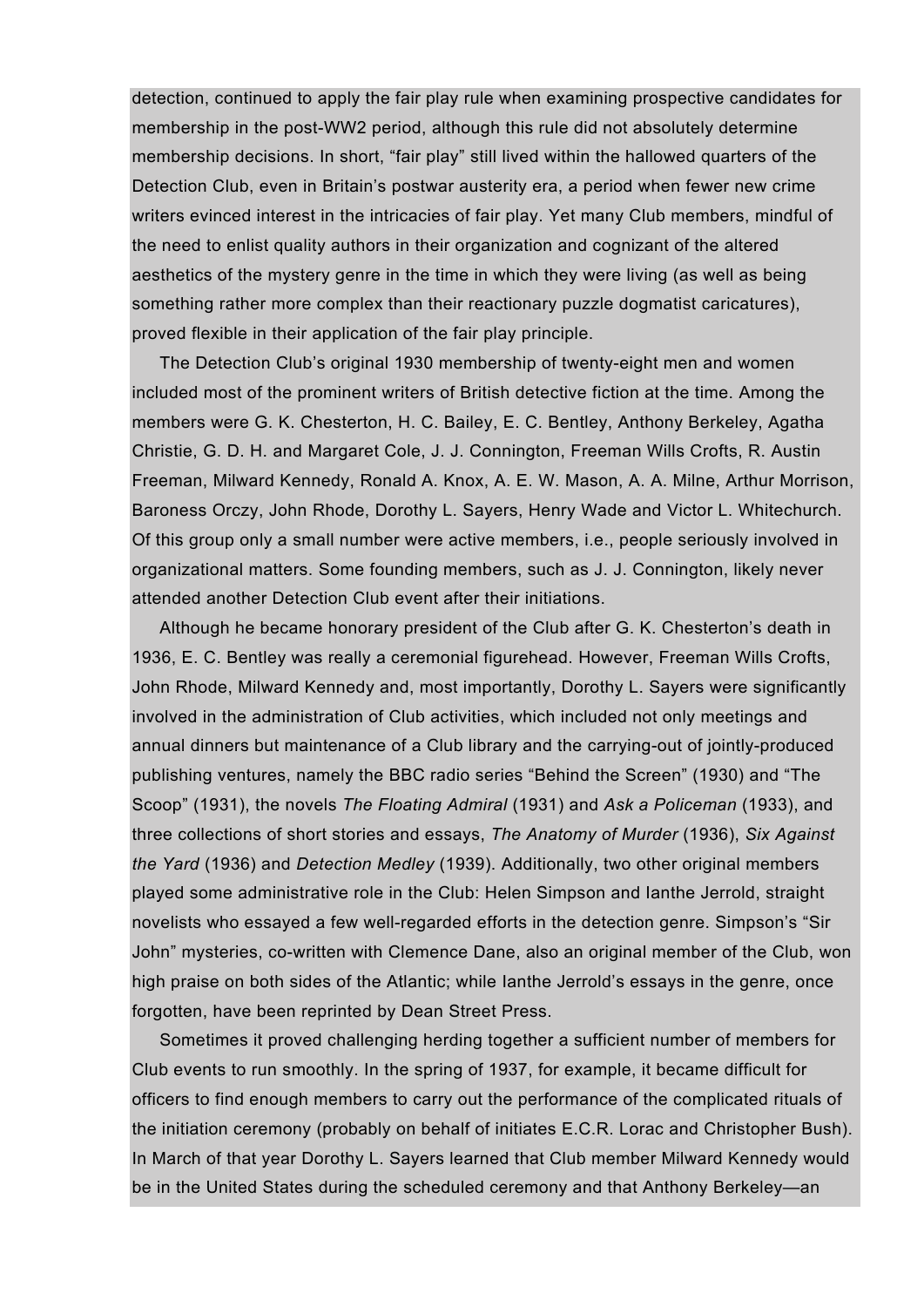detection, continued to apply the fair play rule when examining prospective candidates for membership in the post-WW2 period, although this rule did not absolutely determine membership decisions. In short, "fair play" still lived within the hallowed quarters of the Detection Club, even in Britain's postwar austerity era, a period when fewer new crime writers evinced interest in the intricacies of fair play. Yet many Club members, mindful of the need to enlist quality authors in their organization and cognizant of the altered aesthetics of the mystery genre in the time in which they were living (as well as being something rather more complex than their reactionary puzzle dogmatist caricatures), proved flexible in their application of the fair play principle.

The Detection Club's original 1930 membership of twenty-eight men and women included most of the prominent writers of British detective fiction at the time. Among the members were G. K. Chesterton, H. C. Bailey, E. C. Bentley, Anthony Berkeley, Agatha Christie, G. D. H. and Margaret Cole, J. J. Connington, Freeman Wills Crofts, R. Austin Freeman, Milward Kennedy, Ronald A. Knox, A. E. W. Mason, A. A. Milne, Arthur Morrison, Baroness Orczy, John Rhode, Dorothy L. Sayers, Henry Wade and Victor L. Whitechurch. Of this group only a small number were active members, i.e., people seriously involved in organizational matters. Some founding members, such as J. J. Connington, likely never attended another Detection Club event after their initiations.

Although he became honorary president of the Club after G. K. Chesterton's death in 1936, E. C. Bentley was really a ceremonial figurehead. However, Freeman Wills Crofts, John Rhode, Milward Kennedy and, most importantly, Dorothy L. Sayers were significantly involved in the administration of Club activities, which included not only meetings and annual dinners but maintenance of a Club library and the carrying-out of jointly-produced publishing ventures, namely the BBC radio series "Behind the Screen" (1930) and "The Scoop" (1931), the novels *The Floating Admiral* (1931) and *Ask a Policeman* (1933), and three collections of short stories and essays, *The Anatomy of Murder* (1936), *Six Against the Yard* (1936) and *Detection Medley* (1939). Additionally, two other original members played some administrative role in the Club: Helen Simpson and Ianthe Jerrold, straight novelists who essayed a few well-regarded efforts in the detection genre. Simpson's "Sir John" mysteries, co-written with Clemence Dane, also an original member of the Club, won high praise on both sides of the Atlantic; while Ianthe Jerrold's essays in the genre, once forgotten, have been reprinted by Dean Street Press.

Sometimes it proved challenging herding together a sufficient number of members for Club events to run smoothly. In the spring of 1937, for example, it became difficult for officers to find enough members to carry out the performance of the complicated rituals of the initiation ceremony (probably on behalf of initiates E.C.R. Lorac and Christopher Bush). In March of that year Dorothy L. Sayers learned that Club member Milward Kennedy would be in the United States during the scheduled ceremony and that Anthony Berkeley—an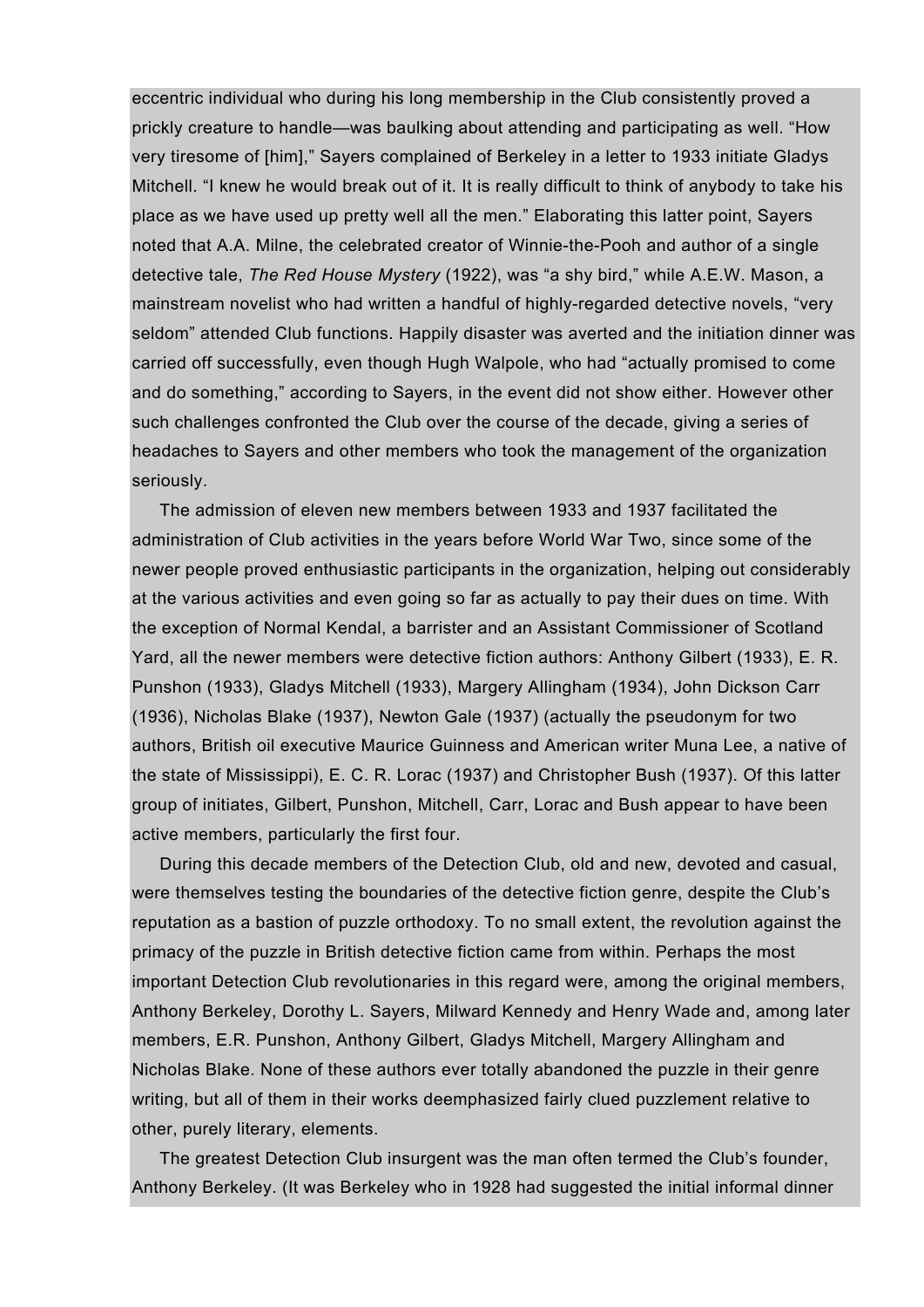eccentric individual who during his long membership in the Club consistently proved a prickly creature to handle—was baulking about attending and participating as well. "How very tiresome of [him]," Sayers complained of Berkeley in a letter to 1933 initiate Gladys Mitchell. "I knew he would break out of it. It is really difficult to think of anybody to take his place as we have used up pretty well all the men." Elaborating this latter point, Sayers noted that A.A. Milne, the celebrated creator of Winnie-the-Pooh and author of a single detective tale, *The Red House Mystery* (1922), was "a shy bird," while A.E.W. Mason, a mainstream novelist who had written a handful of highly-regarded detective novels, "very seldom" attended Club functions. Happily disaster was averted and the initiation dinner was carried off successfully, even though Hugh Walpole, who had "actually promised to come and do something," according to Sayers, in the event did not show either. However other such challenges confronted the Club over the course of the decade, giving a series of headaches to Sayers and other members who took the management of the organization seriously.

The admission of eleven new members between 1933 and 1937 facilitated the administration of Club activities in the years before World War Two, since some of the newer people proved enthusiastic participants in the organization, helping out considerably at the various activities and even going so far as actually to pay their dues on time. With the exception of Normal Kendal, a barrister and an Assistant Commissioner of Scotland Yard, all the newer members were detective fiction authors: Anthony Gilbert (1933), E. R. Punshon (1933), Gladys Mitchell (1933), Margery Allingham (1934), John Dickson Carr (1936), Nicholas Blake (1937), Newton Gale (1937) (actually the pseudonym for two authors, British oil executive Maurice Guinness and American writer Muna Lee, a native of the state of Mississippi), E. C. R. Lorac (1937) and Christopher Bush (1937). Of this latter group of initiates, Gilbert, Punshon, Mitchell, Carr, Lorac and Bush appear to have been active members, particularly the first four.

During this decade members of the Detection Club, old and new, devoted and casual, were themselves testing the boundaries of the detective fiction genre, despite the Club's reputation as a bastion of puzzle orthodoxy. To no small extent, the revolution against the primacy of the puzzle in British detective fiction came from within. Perhaps the most important Detection Club revolutionaries in this regard were, among the original members, Anthony Berkeley, Dorothy L. Sayers, Milward Kennedy and Henry Wade and, among later members, E.R. Punshon, Anthony Gilbert, Gladys Mitchell, Margery Allingham and Nicholas Blake. None of these authors ever totally abandoned the puzzle in their genre writing, but all of them in their works deemphasized fairly clued puzzlement relative to other, purely literary, elements.

The greatest Detection Club insurgent was the man often termed the Club's founder, Anthony Berkeley. (It was Berkeley who in 1928 had suggested the initial informal dinner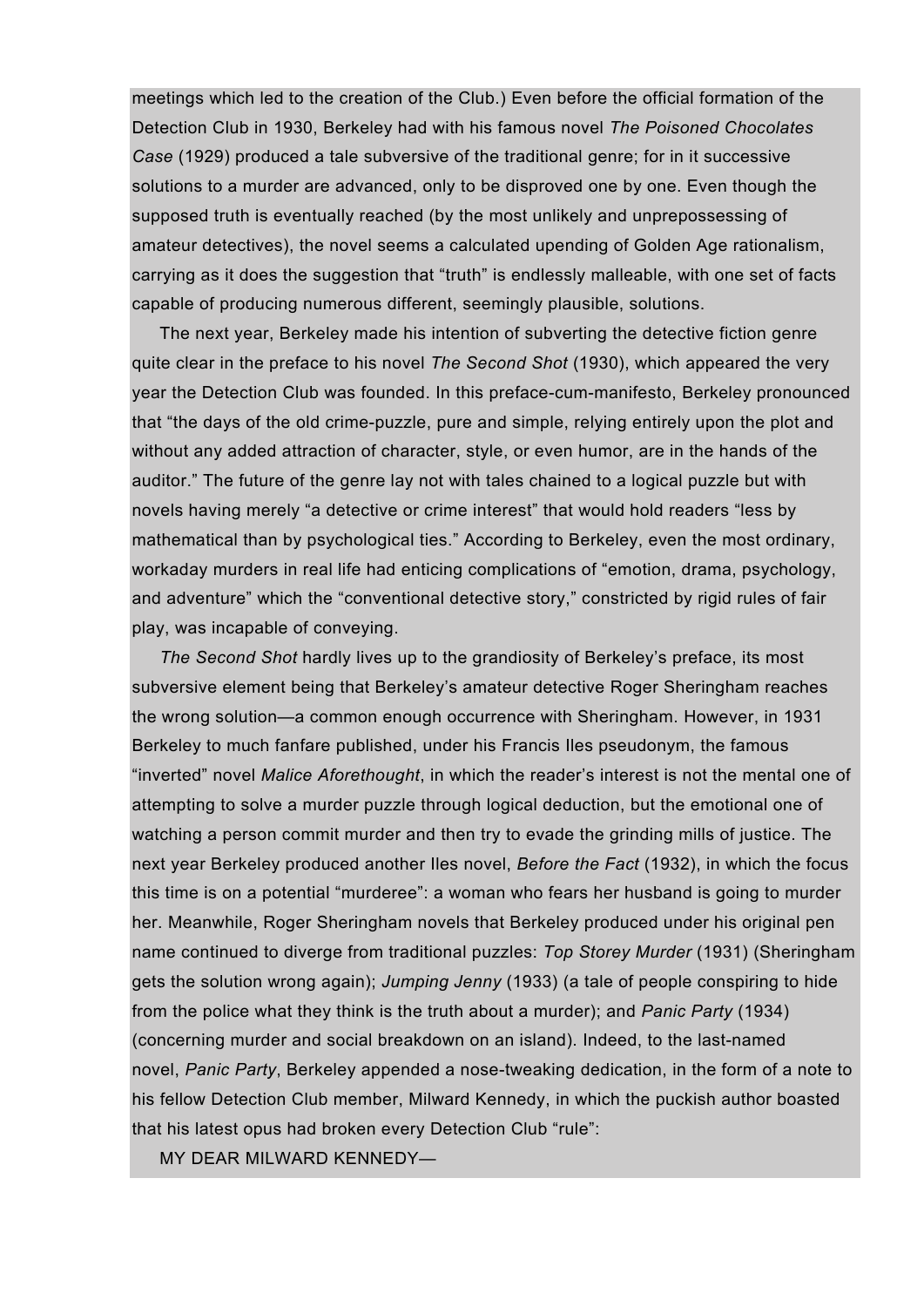meetings which led to the creation of the Club.) Even before the official formation of the Detection Club in 1930, Berkeley had with his famous novel *The Poisoned Chocolates Case* (1929) produced a tale subversive of the traditional genre; for in it successive solutions to a murder are advanced, only to be disproved one by one. Even though the supposed truth is eventually reached (by the most unlikely and unprepossessing of amateur detectives), the novel seems a calculated upending of Golden Age rationalism, carrying as it does the suggestion that "truth" is endlessly malleable, with one set of facts capable of producing numerous different, seemingly plausible, solutions.

The next year, Berkeley made his intention of subverting the detective fiction genre quite clear in the preface to his novel *The Second Shot* (1930), which appeared the very year the Detection Club was founded. In this preface-cum-manifesto, Berkeley pronounced that "the days of the old crime-puzzle, pure and simple, relying entirely upon the plot and without any added attraction of character, style, or even humor, are in the hands of the auditor." The future of the genre lay not with tales chained to a logical puzzle but with novels having merely "a detective or crime interest" that would hold readers "less by mathematical than by psychological ties." According to Berkeley, even the most ordinary, workaday murders in real life had enticing complications of "emotion, drama, psychology, and adventure" which the "conventional detective story," constricted by rigid rules of fair play, was incapable of conveying.

*The Second Shot* hardly lives up to the grandiosity of Berkeley's preface, its most subversive element being that Berkeley's amateur detective Roger Sheringham reaches the wrong solution—a common enough occurrence with Sheringham. However, in 1931 Berkeley to much fanfare published, under his Francis Iles pseudonym, the famous "inverted" novel *Malice Aforethought*, in which the reader's interest is not the mental one of attempting to solve a murder puzzle through logical deduction, but the emotional one of watching a person commit murder and then try to evade the grinding mills of justice. The next year Berkeley produced another Iles novel, *Before the Fact* (1932), in which the focus this time is on a potential "murderee": a woman who fears her husband is going to murder her. Meanwhile, Roger Sheringham novels that Berkeley produced under his original pen name continued to diverge from traditional puzzles: *Top Storey Murder* (1931) (Sheringham gets the solution wrong again); *Jumping Jenny* (1933) (a tale of people conspiring to hide from the police what they think is the truth about a murder); and *Panic Party* (1934) (concerning murder and social breakdown on an island). Indeed, to the last-named novel, *Panic Party*, Berkeley appended a nose-tweaking dedication, in the form of a note to his fellow Detection Club member, Milward Kennedy, in which the puckish author boasted that his latest opus had broken every Detection Club "rule":

MY DEAR MILWARD KENNEDY—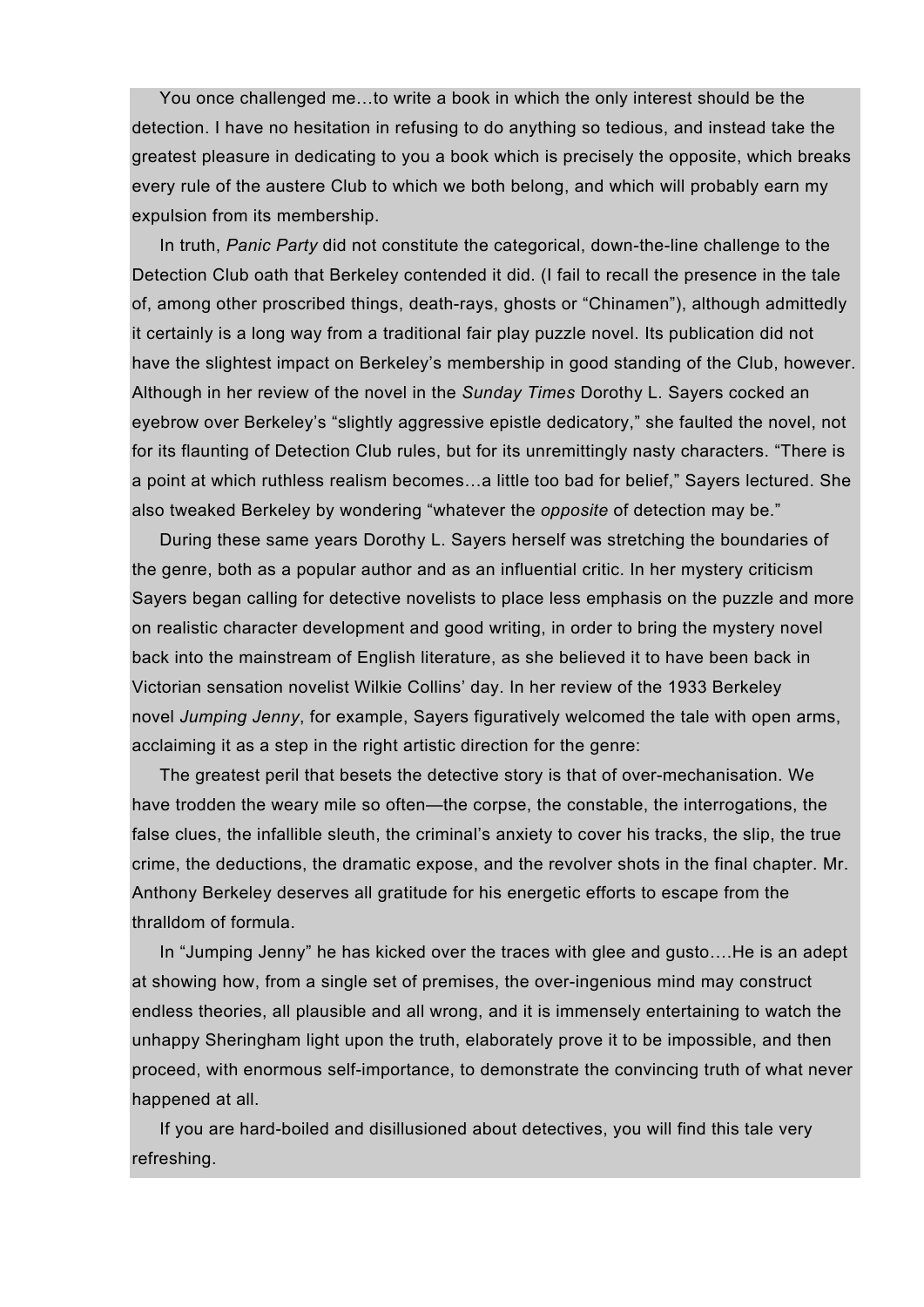You once challenged me…to write a book in which the only interest should be the detection. I have no hesitation in refusing to do anything so tedious, and instead take the greatest pleasure in dedicating to you a book which is precisely the opposite, which breaks every rule of the austere Club to which we both belong, and which will probably earn my expulsion from its membership.

In truth, *Panic Party* did not constitute the categorical, down-the-line challenge to the Detection Club oath that Berkeley contended it did. (I fail to recall the presence in the tale of, among other proscribed things, death-rays, ghosts or "Chinamen"), although admittedly it certainly is a long way from a traditional fair play puzzle novel. Its publication did not have the slightest impact on Berkeley's membership in good standing of the Club, however. Although in her review of the novel in the *Sunday Times* Dorothy L. Sayers cocked an eyebrow over Berkeley's "slightly aggressive epistle dedicatory," she faulted the novel, not for its flaunting of Detection Club rules, but for its unremittingly nasty characters. "There is a point at which ruthless realism becomes…a little too bad for belief," Sayers lectured. She also tweaked Berkeley by wondering "whatever the *opposite* of detection may be."

During these same years Dorothy L. Sayers herself was stretching the boundaries of the genre, both as a popular author and as an influential critic. In her mystery criticism Sayers began calling for detective novelists to place less emphasis on the puzzle and more on realistic character development and good writing, in order to bring the mystery novel back into the mainstream of English literature, as she believed it to have been back in Victorian sensation novelist Wilkie Collins' day. In her review of the 1933 Berkeley novel *Jumping Jenny*, for example, Sayers figuratively welcomed the tale with open arms, acclaiming it as a step in the right artistic direction for the genre:

The greatest peril that besets the detective story is that of over-mechanisation. We have trodden the weary mile so often—the corpse, the constable, the interrogations, the false clues, the infallible sleuth, the criminal's anxiety to cover his tracks, the slip, the true crime, the deductions, the dramatic expose, and the revolver shots in the final chapter. Mr. Anthony Berkeley deserves all gratitude for his energetic efforts to escape from the thralldom of formula.

In "Jumping Jenny" he has kicked over the traces with glee and gusto….He is an adept at showing how, from a single set of premises, the over-ingenious mind may construct endless theories, all plausible and all wrong, and it is immensely entertaining to watch the unhappy Sheringham light upon the truth, elaborately prove it to be impossible, and then proceed, with enormous self-importance, to demonstrate the convincing truth of what never happened at all.

If you are hard-boiled and disillusioned about detectives, you will find this tale very refreshing.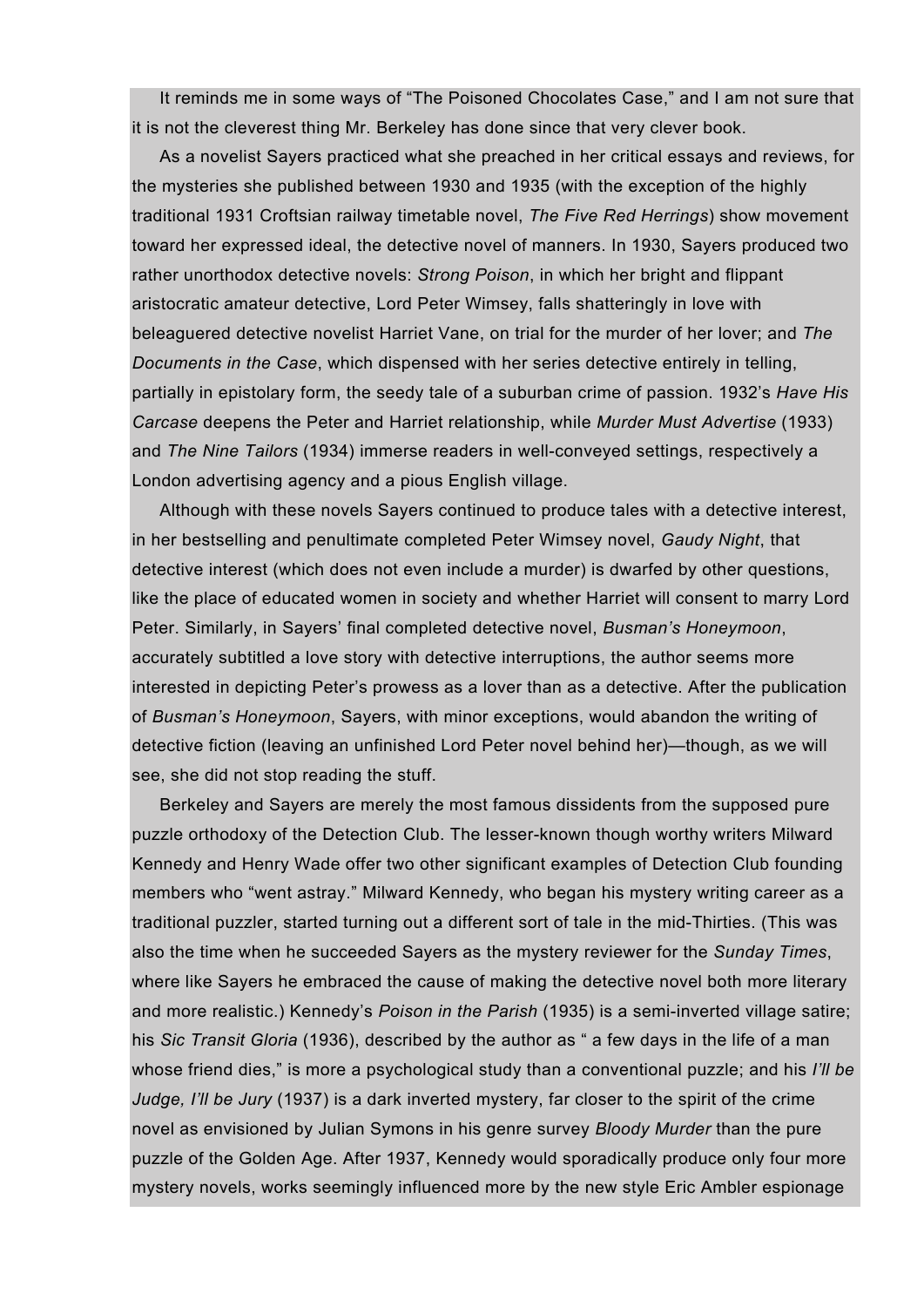It reminds me in some ways of "The Poisoned Chocolates Case," and I am not sure that it is not the cleverest thing Mr. Berkeley has done since that very clever book.

As a novelist Sayers practiced what she preached in her critical essays and reviews, for the mysteries she published between 1930 and 1935 (with the exception of the highly traditional 1931 Croftsian railway timetable novel, *The Five Red Herrings*) show movement toward her expressed ideal, the detective novel of manners. In 1930, Sayers produced two rather unorthodox detective novels: *Strong Poison*, in which her bright and flippant aristocratic amateur detective, Lord Peter Wimsey, falls shatteringly in love with beleaguered detective novelist Harriet Vane, on trial for the murder of her lover; and *The Documents in the Case*, which dispensed with her series detective entirely in telling, partially in epistolary form, the seedy tale of a suburban crime of passion. 1932's *Have His Carcase* deepens the Peter and Harriet relationship, while *Murder Must Advertise* (1933) and *The Nine Tailors* (1934) immerse readers in well-conveyed settings, respectively a London advertising agency and a pious English village.

Although with these novels Sayers continued to produce tales with a detective interest, in her bestselling and penultimate completed Peter Wimsey novel, *Gaudy Night*, that detective interest (which does not even include a murder) is dwarfed by other questions, like the place of educated women in society and whether Harriet will consent to marry Lord Peter. Similarly, in Sayers' final completed detective novel, *Busman's Honeymoon*, accurately subtitled a love story with detective interruptions, the author seems more interested in depicting Peter's prowess as a lover than as a detective. After the publication of *Busman's Honeymoon*, Sayers, with minor exceptions, would abandon the writing of detective fiction (leaving an unfinished Lord Peter novel behind her)—though, as we will see, she did not stop reading the stuff.

Berkeley and Sayers are merely the most famous dissidents from the supposed pure puzzle orthodoxy of the Detection Club. The lesser-known though worthy writers Milward Kennedy and Henry Wade offer two other significant examples of Detection Club founding members who "went astray." Milward Kennedy, who began his mystery writing career as a traditional puzzler, started turning out a different sort of tale in the mid-Thirties. (This was also the time when he succeeded Sayers as the mystery reviewer for the *Sunday Times*, where like Sayers he embraced the cause of making the detective novel both more literary and more realistic.) Kennedy's *Poison in the Parish* (1935) is a semi-inverted village satire; his *Sic Transit Gloria* (1936), described by the author as " a few days in the life of a man whose friend dies," is more a psychological study than a conventional puzzle; and his *I'll be Judge, I'll be Jury* (1937) is a dark inverted mystery, far closer to the spirit of the crime novel as envisioned by Julian Symons in his genre survey *Bloody Murder* than the pure puzzle of the Golden Age. After 1937, Kennedy would sporadically produce only four more mystery novels, works seemingly influenced more by the new style Eric Ambler espionage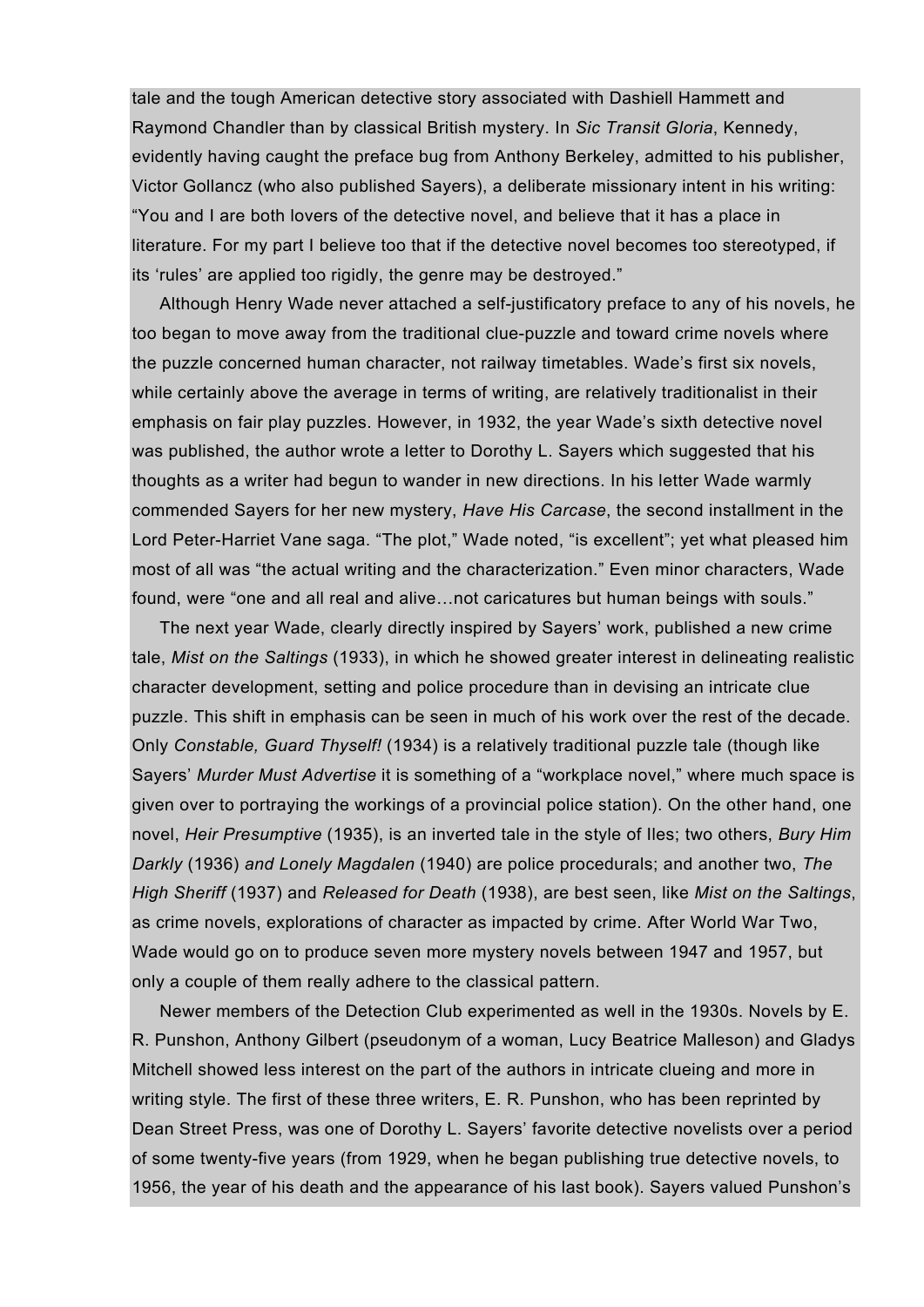tale and the tough American detective story associated with Dashiell Hammett and Raymond Chandler than by classical British mystery. In *Sic Transit Gloria*, Kennedy, evidently having caught the preface bug from Anthony Berkeley, admitted to his publisher, Victor Gollancz (who also published Sayers), a deliberate missionary intent in his writing: "You and I are both lovers of the detective novel, and believe that it has a place in literature. For my part I believe too that if the detective novel becomes too stereotyped, if its 'rules' are applied too rigidly, the genre may be destroyed."

Although Henry Wade never attached a self-justificatory preface to any of his novels, he too began to move away from the traditional clue-puzzle and toward crime novels where the puzzle concerned human character, not railway timetables. Wade's first six novels, while certainly above the average in terms of writing, are relatively traditionalist in their emphasis on fair play puzzles. However, in 1932, the year Wade's sixth detective novel was published, the author wrote a letter to Dorothy L. Sayers which suggested that his thoughts as a writer had begun to wander in new directions. In his letter Wade warmly commended Sayers for her new mystery, *Have His Carcase*, the second installment in the Lord Peter-Harriet Vane saga. "The plot," Wade noted, "is excellent"; yet what pleased him most of all was "the actual writing and the characterization." Even minor characters, Wade found, were "one and all real and alive…not caricatures but human beings with souls."

The next year Wade, clearly directly inspired by Sayers' work, published a new crime tale, *Mist on the Saltings* (1933), in which he showed greater interest in delineating realistic character development, setting and police procedure than in devising an intricate clue puzzle. This shift in emphasis can be seen in much of his work over the rest of the decade. Only *Constable, Guard Thyself!* (1934) is a relatively traditional puzzle tale (though like Sayers' *Murder Must Advertise* it is something of a "workplace novel," where much space is given over to portraying the workings of a provincial police station). On the other hand, one novel, *Heir Presumptive* (1935), is an inverted tale in the style of Iles; two others, *Bury Him Darkly* (1936) *and Lonely Magdalen* (1940) are police procedurals; and another two, *The High Sheriff* (1937) and *Released for Death* (1938), are best seen, like *Mist on the Saltings*, as crime novels, explorations of character as impacted by crime. After World War Two, Wade would go on to produce seven more mystery novels between 1947 and 1957, but only a couple of them really adhere to the classical pattern.

Newer members of the Detection Club experimented as well in the 1930s. Novels by E. R. Punshon, Anthony Gilbert (pseudonym of a woman, Lucy Beatrice Malleson) and Gladys Mitchell showed less interest on the part of the authors in intricate clueing and more in writing style. The first of these three writers, E. R. Punshon, who has been reprinted by Dean Street Press, was one of Dorothy L. Sayers' favorite detective novelists over a period of some twenty-five years (from 1929, when he began publishing true detective novels, to 1956, the year of his death and the appearance of his last book). Sayers valued Punshon's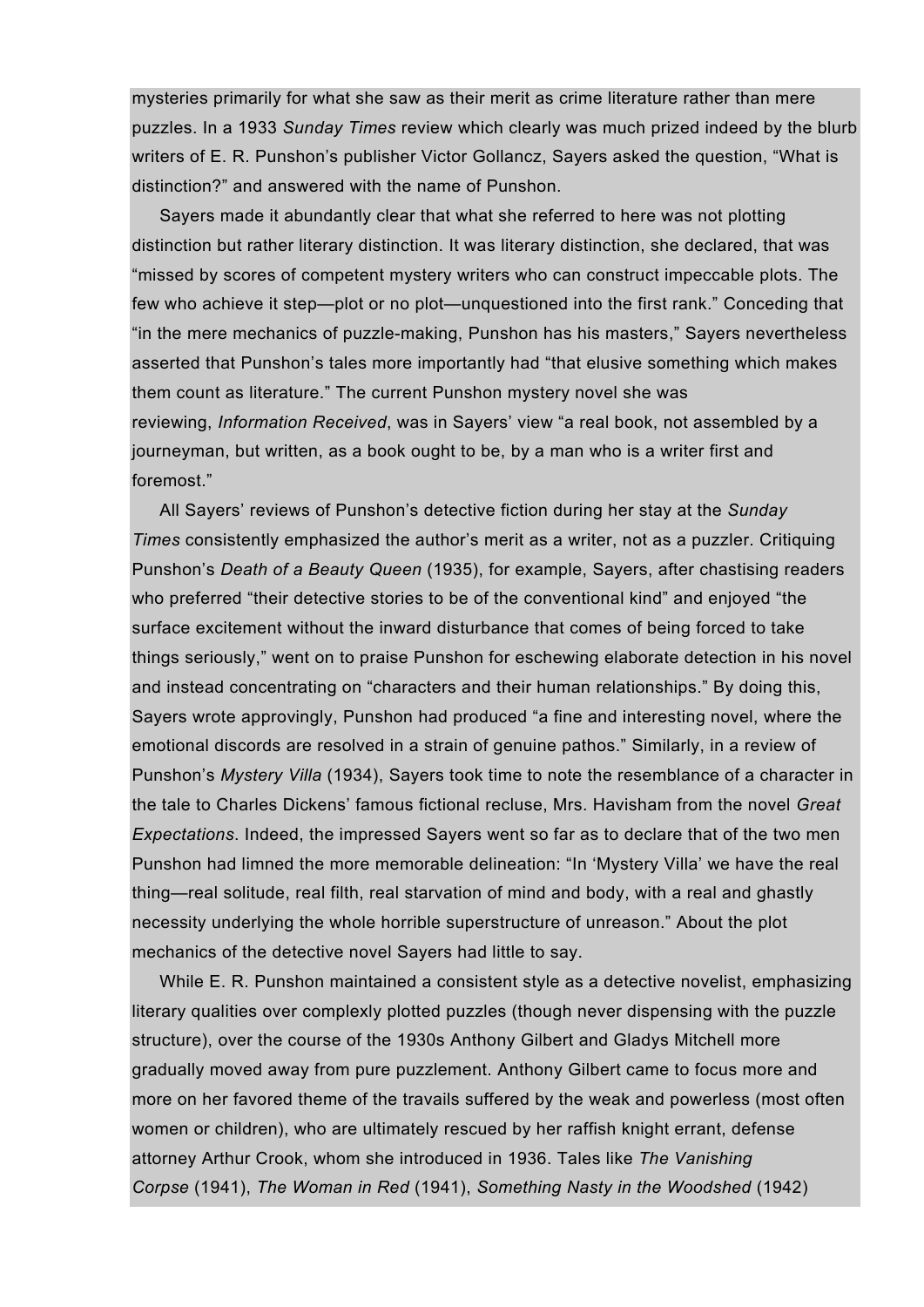mysteries primarily for what she saw as their merit as crime literature rather than mere puzzles. In a 1933 *Sunday Times* review which clearly was much prized indeed by the blurb writers of E. R. Punshon's publisher Victor Gollancz, Sayers asked the question, "What is distinction?" and answered with the name of Punshon.

Sayers made it abundantly clear that what she referred to here was not plotting distinction but rather literary distinction. It was literary distinction, she declared, that was "missed by scores of competent mystery writers who can construct impeccable plots. The few who achieve it step—plot or no plot—unquestioned into the first rank." Conceding that "in the mere mechanics of puzzle-making, Punshon has his masters," Sayers nevertheless asserted that Punshon's tales more importantly had "that elusive something which makes them count as literature." The current Punshon mystery novel she was reviewing, *Information Received*, was in Sayers' view "a real book, not assembled by a journeyman, but written, as a book ought to be, by a man who is a writer first and foremost."

All Sayers' reviews of Punshon's detective fiction during her stay at the *Sunday Times* consistently emphasized the author's merit as a writer, not as a puzzler. Critiquing Punshon's *Death of a Beauty Queen* (1935), for example, Sayers, after chastising readers who preferred "their detective stories to be of the conventional kind" and enjoyed "the surface excitement without the inward disturbance that comes of being forced to take things seriously," went on to praise Punshon for eschewing elaborate detection in his novel and instead concentrating on "characters and their human relationships." By doing this, Sayers wrote approvingly, Punshon had produced "a fine and interesting novel, where the emotional discords are resolved in a strain of genuine pathos." Similarly, in a review of Punshon's *Mystery Villa* (1934), Sayers took time to note the resemblance of a character in the tale to Charles Dickens' famous fictional recluse, Mrs. Havisham from the novel *Great Expectations*. Indeed, the impressed Sayers went so far as to declare that of the two men Punshon had limned the more memorable delineation: "In 'Mystery Villa' we have the real thing—real solitude, real filth, real starvation of mind and body, with a real and ghastly necessity underlying the whole horrible superstructure of unreason." About the plot mechanics of the detective novel Sayers had little to say.

While E. R. Punshon maintained a consistent style as a detective novelist, emphasizing literary qualities over complexly plotted puzzles (though never dispensing with the puzzle structure), over the course of the 1930s Anthony Gilbert and Gladys Mitchell more gradually moved away from pure puzzlement. Anthony Gilbert came to focus more and more on her favored theme of the travails suffered by the weak and powerless (most often women or children), who are ultimately rescued by her raffish knight errant, defense attorney Arthur Crook, whom she introduced in 1936. Tales like *The Vanishing Corpse* (1941), *The Woman in Red* (1941), *Something Nasty in the Woodshed* (1942)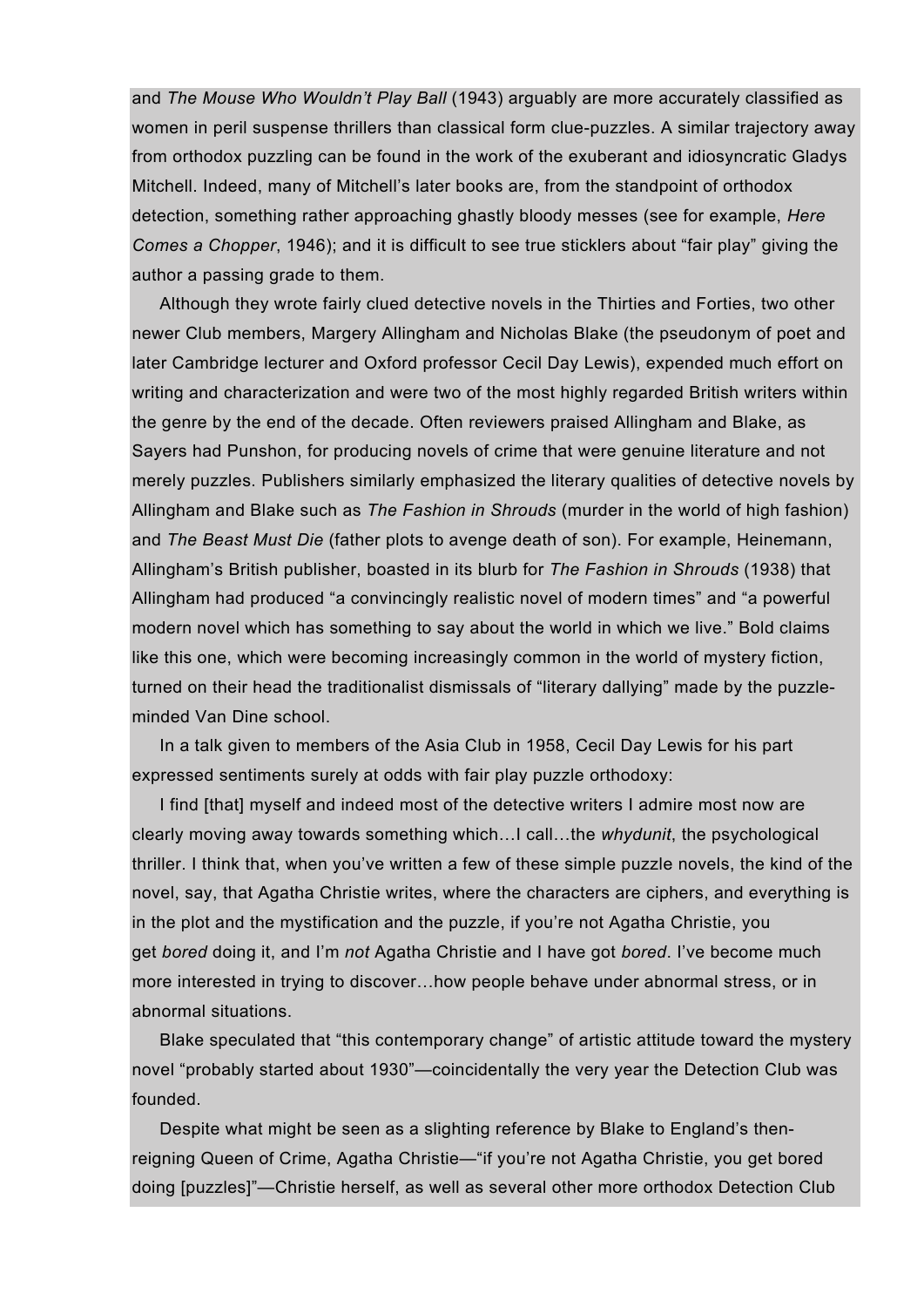and *The Mouse Who Wouldn't Play Ball* (1943) arguably are more accurately classified as women in peril suspense thrillers than classical form clue-puzzles. A similar trajectory away from orthodox puzzling can be found in the work of the exuberant and idiosyncratic Gladys Mitchell. Indeed, many of Mitchell's later books are, from the standpoint of orthodox detection, something rather approaching ghastly bloody messes (see for example, *Here Comes a Chopper*, 1946); and it is difficult to see true sticklers about "fair play" giving the author a passing grade to them.

Although they wrote fairly clued detective novels in the Thirties and Forties, two other newer Club members, Margery Allingham and Nicholas Blake (the pseudonym of poet and later Cambridge lecturer and Oxford professor Cecil Day Lewis), expended much effort on writing and characterization and were two of the most highly regarded British writers within the genre by the end of the decade. Often reviewers praised Allingham and Blake, as Sayers had Punshon, for producing novels of crime that were genuine literature and not merely puzzles. Publishers similarly emphasized the literary qualities of detective novels by Allingham and Blake such as *The Fashion in Shrouds* (murder in the world of high fashion) and *The Beast Must Die* (father plots to avenge death of son). For example, Heinemann, Allingham's British publisher, boasted in its blurb for *The Fashion in Shrouds* (1938) that Allingham had produced "a convincingly realistic novel of modern times" and "a powerful modern novel which has something to say about the world in which we live." Bold claims like this one, which were becoming increasingly common in the world of mystery fiction, turned on their head the traditionalist dismissals of "literary dallying" made by the puzzleminded Van Dine school.

In a talk given to members of the Asia Club in 1958, Cecil Day Lewis for his part expressed sentiments surely at odds with fair play puzzle orthodoxy:

I find [that] myself and indeed most of the detective writers I admire most now are clearly moving away towards something which…I call…the *whydunit*, the psychological thriller. I think that, when you've written a few of these simple puzzle novels, the kind of the novel, say, that Agatha Christie writes, where the characters are ciphers, and everything is in the plot and the mystification and the puzzle, if you're not Agatha Christie, you get *bored* doing it, and I'm *not* Agatha Christie and I have got *bored*. I've become much more interested in trying to discover…how people behave under abnormal stress, or in abnormal situations.

Blake speculated that "this contemporary change" of artistic attitude toward the mystery novel "probably started about 1930"—coincidentally the very year the Detection Club was founded.

Despite what might be seen as a slighting reference by Blake to England's thenreigning Queen of Crime, Agatha Christie—"if you're not Agatha Christie, you get bored doing [puzzles]"—Christie herself, as well as several other more orthodox Detection Club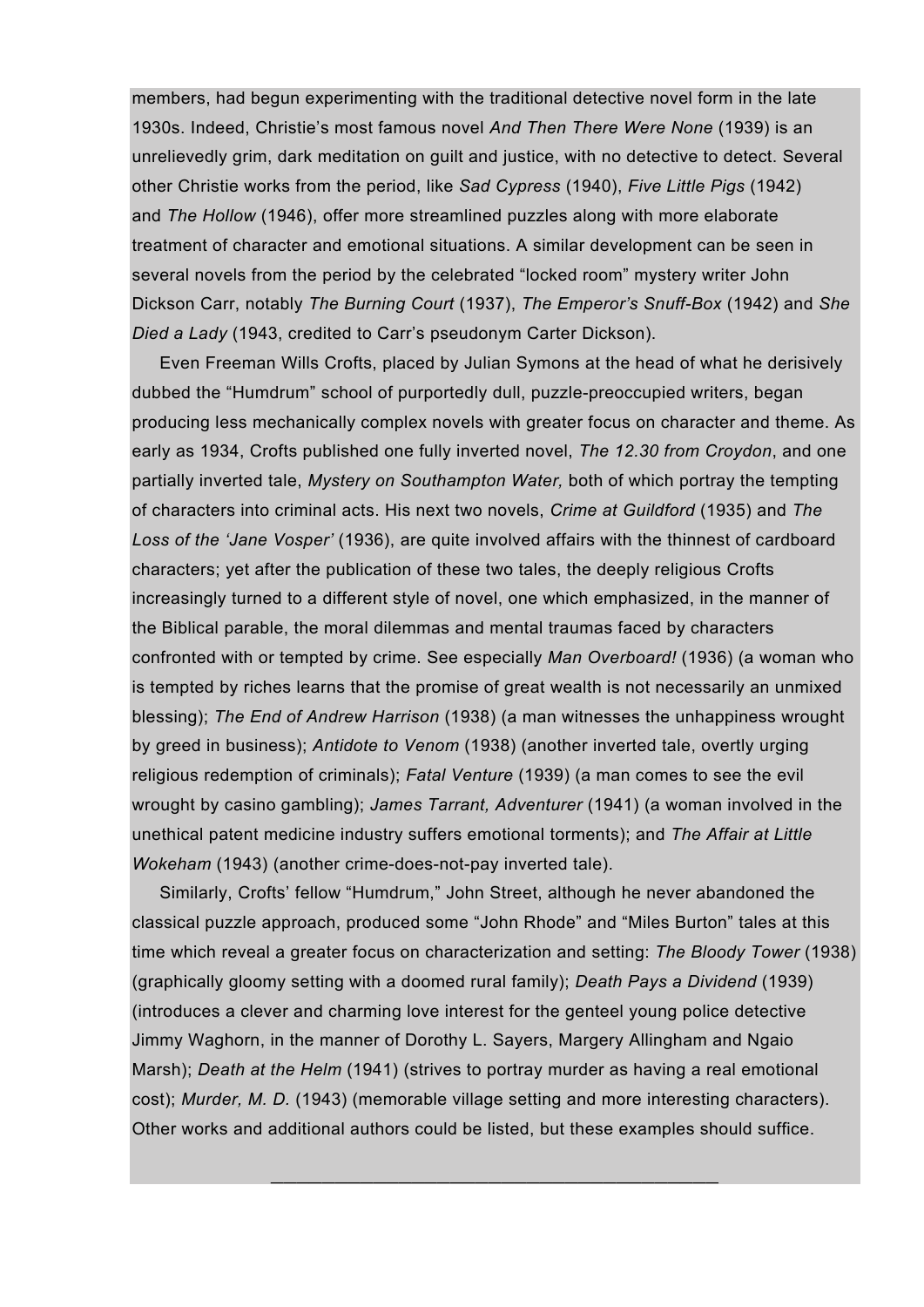members, had begun experimenting with the traditional detective novel form in the late 1930s. Indeed, Christie's most famous novel *And Then There Were None* (1939) is an unrelievedly grim, dark meditation on guilt and justice, with no detective to detect. Several other Christie works from the period, like *Sad Cypress* (1940), *Five Little Pigs* (1942) and *The Hollow* (1946), offer more streamlined puzzles along with more elaborate treatment of character and emotional situations. A similar development can be seen in several novels from the period by the celebrated "locked room" mystery writer John Dickson Carr, notably *The Burning Court* (1937), *The Emperor's Snuff-Box* (1942) and *She Died a Lady* (1943, credited to Carr's pseudonym Carter Dickson).

Even Freeman Wills Crofts, placed by Julian Symons at the head of what he derisively dubbed the "Humdrum" school of purportedly dull, puzzle-preoccupied writers, began producing less mechanically complex novels with greater focus on character and theme. As early as 1934, Crofts published one fully inverted novel, *The 12.30 from Croydon*, and one partially inverted tale, *Mystery on Southampton Water,* both of which portray the tempting of characters into criminal acts. His next two novels, *Crime at Guildford* (1935) and *The Loss of the 'Jane Vosper'* (1936), are quite involved affairs with the thinnest of cardboard characters; yet after the publication of these two tales, the deeply religious Crofts increasingly turned to a different style of novel, one which emphasized, in the manner of the Biblical parable, the moral dilemmas and mental traumas faced by characters confronted with or tempted by crime. See especially *Man Overboard!* (1936) (a woman who is tempted by riches learns that the promise of great wealth is not necessarily an unmixed blessing); *The End of Andrew Harrison* (1938) (a man witnesses the unhappiness wrought by greed in business); *Antidote to Venom* (1938) (another inverted tale, overtly urging religious redemption of criminals); *Fatal Venture* (1939) (a man comes to see the evil wrought by casino gambling); *James Tarrant, Adventurer* (1941) (a woman involved in the unethical patent medicine industry suffers emotional torments); and *The Affair at Little Wokeham* (1943) (another crime-does-not-pay inverted tale).

Similarly, Crofts' fellow "Humdrum," John Street, although he never abandoned the classical puzzle approach, produced some "John Rhode" and "Miles Burton" tales at this time which reveal a greater focus on characterization and setting: *The Bloody Tower* (1938) (graphically gloomy setting with a doomed rural family); *Death Pays a Dividend* (1939) (introduces a clever and charming love interest for the genteel young police detective Jimmy Waghorn, in the manner of Dorothy L. Sayers, Margery Allingham and Ngaio Marsh); *Death at the Helm* (1941) (strives to portray murder as having a real emotional cost); *Murder, M. D.* (1943) (memorable village setting and more interesting characters). Other works and additional authors could be listed, but these examples should suffice.

\_\_\_\_\_\_\_\_\_\_\_\_\_\_\_\_\_\_\_\_\_\_\_\_\_\_\_\_\_\_\_\_\_\_\_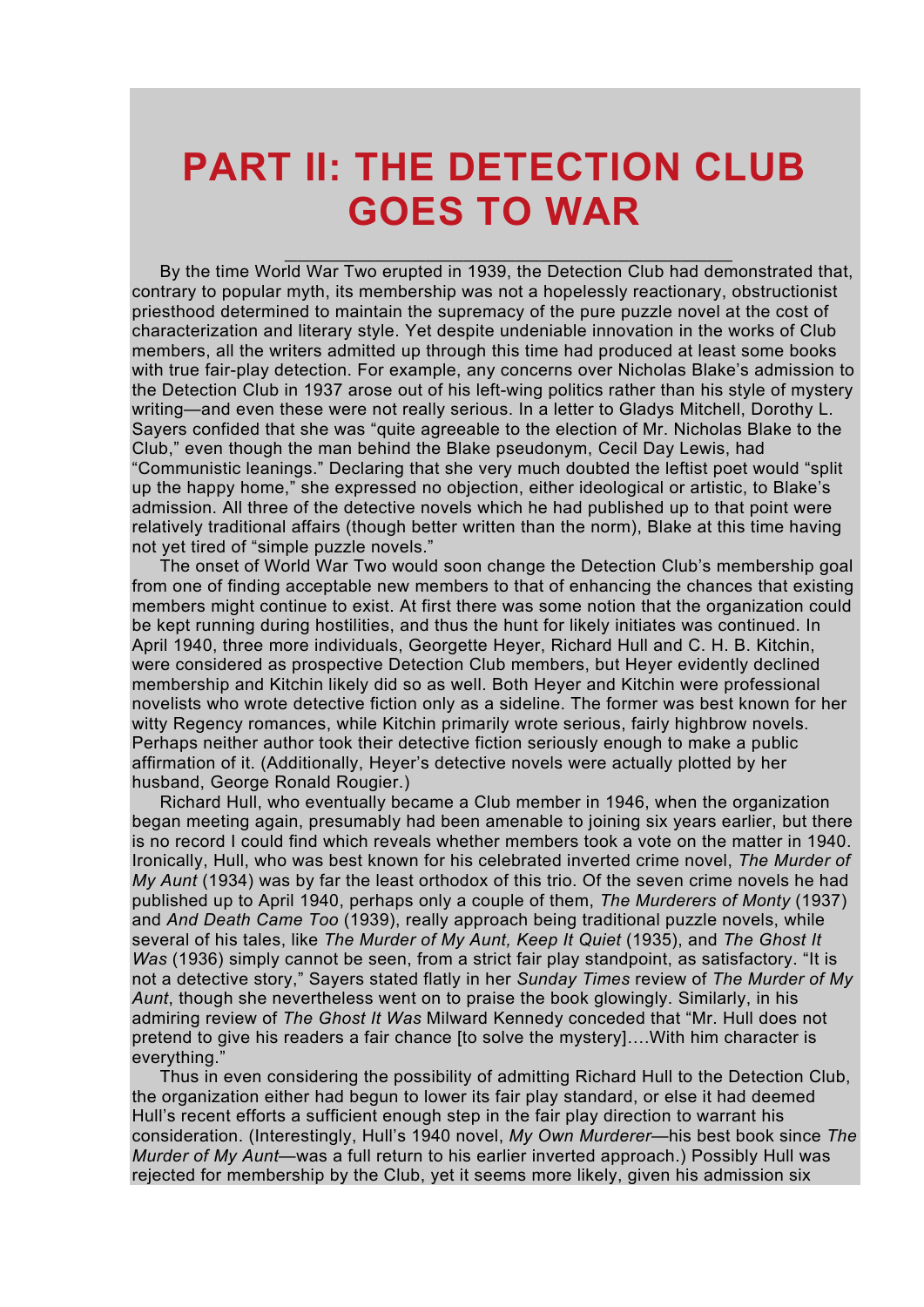## **PART II: THE DETECTION CLUB GOES TO WAR**

\_\_\_\_\_\_\_\_\_\_\_\_\_\_\_\_\_\_\_\_\_\_\_\_\_\_\_\_\_\_\_\_\_\_\_

By the time World War Two erupted in 1939, the Detection Club had demonstrated that, contrary to popular myth, its membership was not a hopelessly reactionary, obstructionist priesthood determined to maintain the supremacy of the pure puzzle novel at the cost of characterization and literary style. Yet despite undeniable innovation in the works of Club members, all the writers admitted up through this time had produced at least some books with true fair-play detection. For example, any concerns over Nicholas Blake's admission to the Detection Club in 1937 arose out of his left-wing politics rather than his style of mystery writing—and even these were not really serious. In a letter to Gladys Mitchell, Dorothy L. Sayers confided that she was "quite agreeable to the election of Mr. Nicholas Blake to the Club," even though the man behind the Blake pseudonym, Cecil Day Lewis, had "Communistic leanings." Declaring that she very much doubted the leftist poet would "split up the happy home," she expressed no objection, either ideological or artistic, to Blake's admission. All three of the detective novels which he had published up to that point were relatively traditional affairs (though better written than the norm), Blake at this time having not yet tired of "simple puzzle novels."

The onset of World War Two would soon change the Detection Club's membership goal from one of finding acceptable new members to that of enhancing the chances that existing members might continue to exist. At first there was some notion that the organization could be kept running during hostilities, and thus the hunt for likely initiates was continued. In April 1940, three more individuals, Georgette Heyer, Richard Hull and C. H. B. Kitchin, were considered as prospective Detection Club members, but Heyer evidently declined membership and Kitchin likely did so as well. Both Heyer and Kitchin were professional novelists who wrote detective fiction only as a sideline. The former was best known for her witty Regency romances, while Kitchin primarily wrote serious, fairly highbrow novels. Perhaps neither author took their detective fiction seriously enough to make a public affirmation of it. (Additionally, Heyer's detective novels were actually plotted by her husband, George Ronald Rougier.)

Richard Hull, who eventually became a Club member in 1946, when the organization began meeting again, presumably had been amenable to joining six years earlier, but there is no record I could find which reveals whether members took a vote on the matter in 1940. Ironically, Hull, who was best known for his celebrated inverted crime novel, *The Murder of My Aunt* (1934) was by far the least orthodox of this trio. Of the seven crime novels he had published up to April 1940, perhaps only a couple of them, *The Murderers of Monty* (1937) and *And Death Came Too* (1939), really approach being traditional puzzle novels, while several of his tales, like *The Murder of My Aunt, Keep It Quiet* (1935), and *The Ghost It Was* (1936) simply cannot be seen, from a strict fair play standpoint, as satisfactory. "It is not a detective story," Sayers stated flatly in her *Sunday Times* review of *The Murder of My Aunt*, though she nevertheless went on to praise the book glowingly. Similarly, in his admiring review of *The Ghost It Was* Milward Kennedy conceded that "Mr. Hull does not pretend to give his readers a fair chance [to solve the mystery]….With him character is everything."

Thus in even considering the possibility of admitting Richard Hull to the Detection Club, the organization either had begun to lower its fair play standard, or else it had deemed Hull's recent efforts a sufficient enough step in the fair play direction to warrant his consideration. (Interestingly, Hull's 1940 novel, *My Own Murderer*—his best book since *The Murder of My Aunt*—was a full return to his earlier inverted approach.) Possibly Hull was rejected for membership by the Club, yet it seems more likely, given his admission six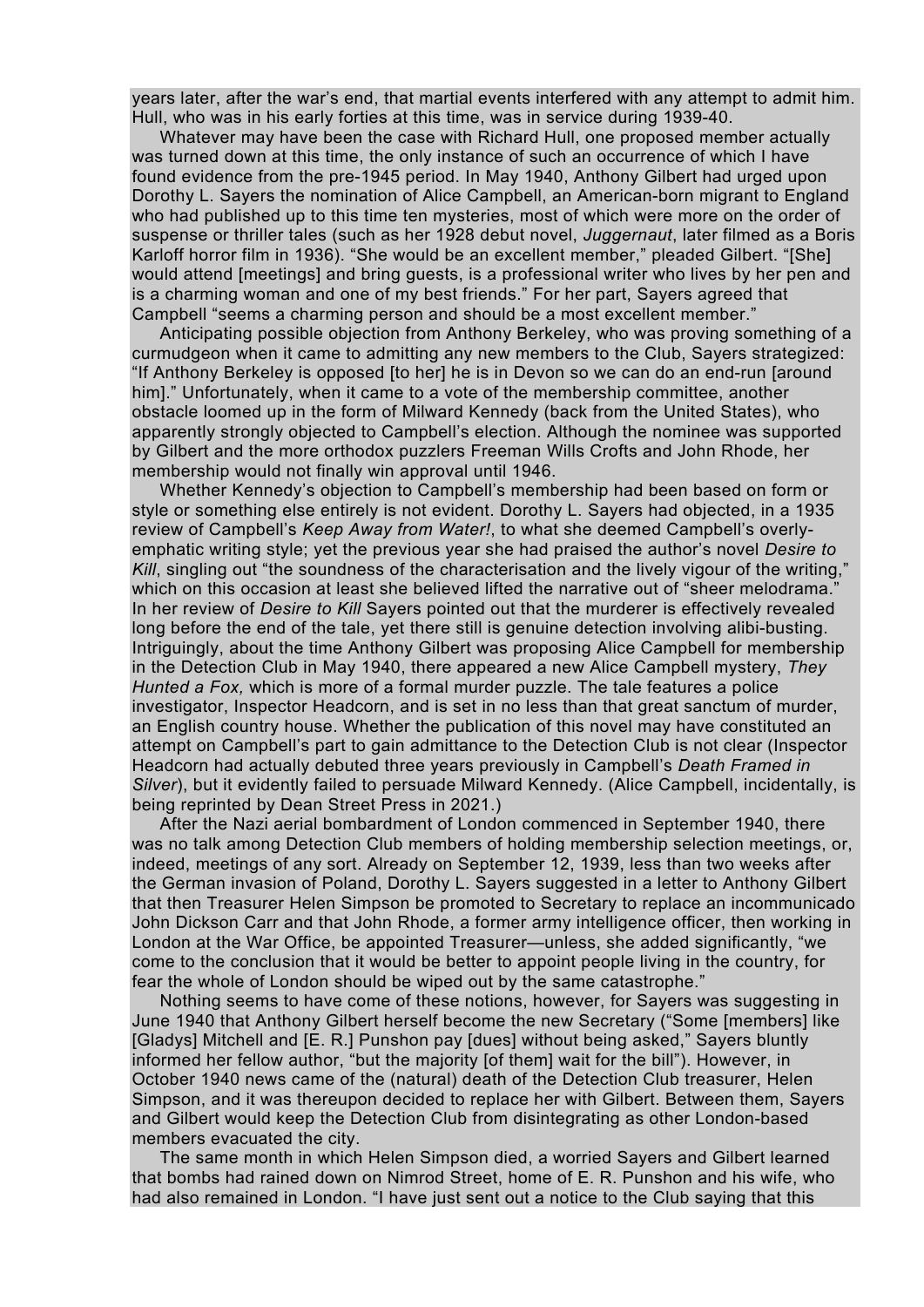years later, after the war's end, that martial events interfered with any attempt to admit him. Hull, who was in his early forties at this time, was in service during 1939-40.

Whatever may have been the case with Richard Hull, one proposed member actually was turned down at this time, the only instance of such an occurrence of which I have found evidence from the pre-1945 period. In May 1940, Anthony Gilbert had urged upon Dorothy L. Sayers the nomination of Alice Campbell, an American-born migrant to England who had published up to this time ten mysteries, most of which were more on the order of suspense or thriller tales (such as her 1928 debut novel, *Juggernaut*, later filmed as a Boris Karloff horror film in 1936). "She would be an excellent member," pleaded Gilbert. "[She] would attend [meetings] and bring guests, is a professional writer who lives by her pen and is a charming woman and one of my best friends." For her part, Sayers agreed that Campbell "seems a charming person and should be a most excellent member."

Anticipating possible objection from Anthony Berkeley, who was proving something of a curmudgeon when it came to admitting any new members to the Club, Sayers strategized: "If Anthony Berkeley is opposed [to her] he is in Devon so we can do an end-run [around him]." Unfortunately, when it came to a vote of the membership committee, another obstacle loomed up in the form of Milward Kennedy (back from the United States), who apparently strongly objected to Campbell's election. Although the nominee was supported by Gilbert and the more orthodox puzzlers Freeman Wills Crofts and John Rhode, her membership would not finally win approval until 1946.

Whether Kennedy's objection to Campbell's membership had been based on form or style or something else entirely is not evident. Dorothy L. Sayers had objected, in a 1935 review of Campbell's *Keep Away from Water!*, to what she deemed Campbell's overlyemphatic writing style; yet the previous year she had praised the author's novel *Desire to Kill*, singling out "the soundness of the characterisation and the lively vigour of the writing," which on this occasion at least she believed lifted the narrative out of "sheer melodrama." In her review of *Desire to Kill* Sayers pointed out that the murderer is effectively revealed long before the end of the tale, yet there still is genuine detection involving alibi-busting. Intriguingly, about the time Anthony Gilbert was proposing Alice Campbell for membership in the Detection Club in May 1940, there appeared a new Alice Campbell mystery, *They Hunted a Fox,* which is more of a formal murder puzzle. The tale features a police investigator, Inspector Headcorn, and is set in no less than that great sanctum of murder, an English country house. Whether the publication of this novel may have constituted an attempt on Campbell's part to gain admittance to the Detection Club is not clear (Inspector Headcorn had actually debuted three years previously in Campbell's *Death Framed in Silver*), but it evidently failed to persuade Milward Kennedy. (Alice Campbell, incidentally, is being reprinted by Dean Street Press in 2021.)

After the Nazi aerial bombardment of London commenced in September 1940, there was no talk among Detection Club members of holding membership selection meetings, or, indeed, meetings of any sort. Already on September 12, 1939, less than two weeks after the German invasion of Poland, Dorothy L. Sayers suggested in a letter to Anthony Gilbert that then Treasurer Helen Simpson be promoted to Secretary to replace an incommunicado John Dickson Carr and that John Rhode, a former army intelligence officer, then working in London at the War Office, be appointed Treasurer—unless, she added significantly, "we come to the conclusion that it would be better to appoint people living in the country, for fear the whole of London should be wiped out by the same catastrophe."

Nothing seems to have come of these notions, however, for Sayers was suggesting in June 1940 that Anthony Gilbert herself become the new Secretary ("Some [members] like [Gladys] Mitchell and [E. R.] Punshon pay [dues] without being asked," Sayers bluntly informed her fellow author, "but the majority [of them] wait for the bill"). However, in October 1940 news came of the (natural) death of the Detection Club treasurer, Helen Simpson, and it was thereupon decided to replace her with Gilbert. Between them, Sayers and Gilbert would keep the Detection Club from disintegrating as other London-based members evacuated the city.

The same month in which Helen Simpson died, a worried Sayers and Gilbert learned that bombs had rained down on Nimrod Street, home of E. R. Punshon and his wife, who had also remained in London. "I have just sent out a notice to the Club saying that this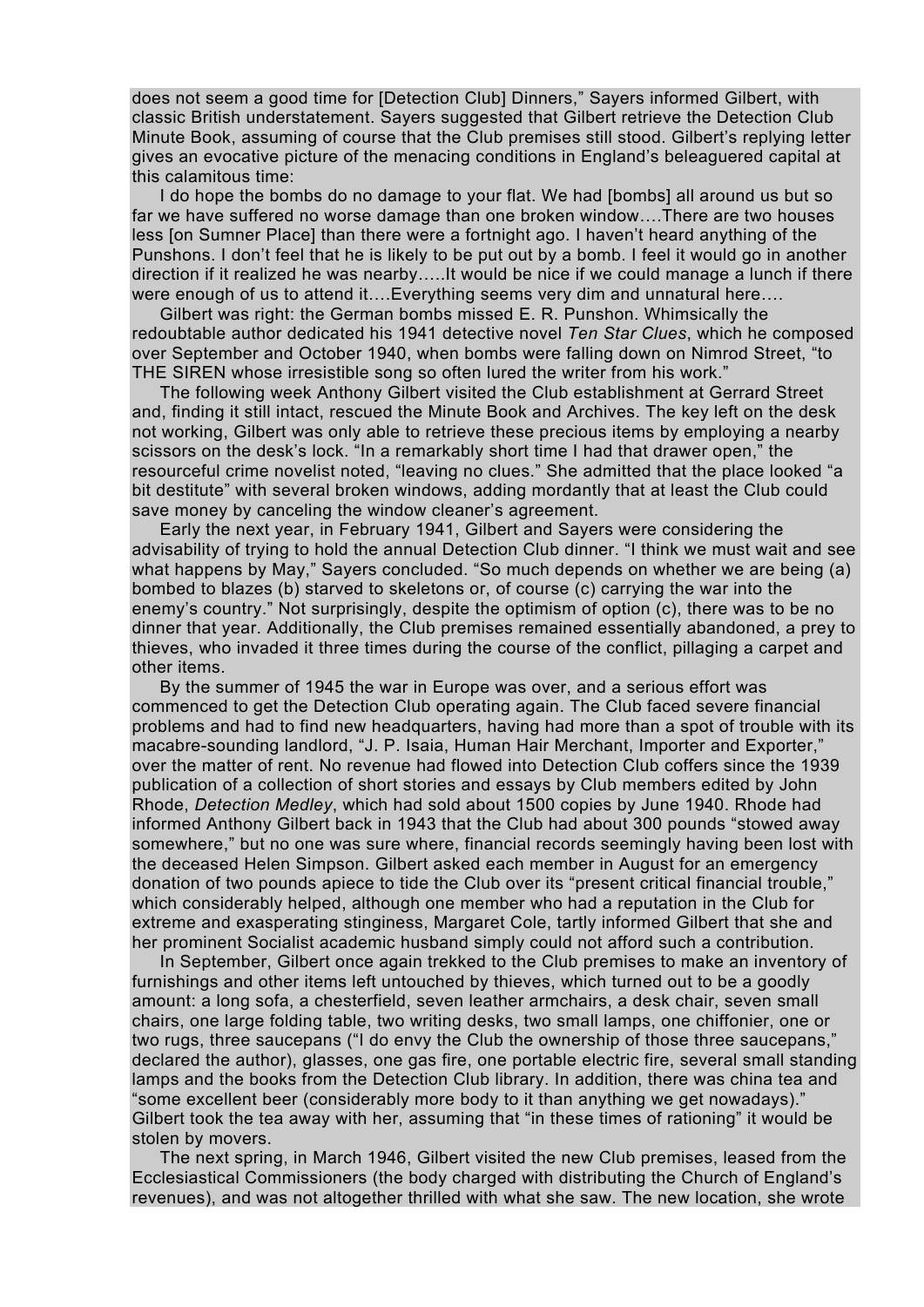does not seem a good time for [Detection Club] Dinners," Sayers informed Gilbert, with classic British understatement. Sayers suggested that Gilbert retrieve the Detection Club Minute Book, assuming of course that the Club premises still stood. Gilbert's replying letter gives an evocative picture of the menacing conditions in England's beleaguered capital at this calamitous time:

I do hope the bombs do no damage to your flat. We had [bombs] all around us but so far we have suffered no worse damage than one broken window….There are two houses less [on Sumner Place] than there were a fortnight ago. I haven't heard anything of the Punshons. I don't feel that he is likely to be put out by a bomb. I feel it would go in another direction if it realized he was nearby…..It would be nice if we could manage a lunch if there were enough of us to attend it….Everything seems very dim and unnatural here….

Gilbert was right: the German bombs missed E. R. Punshon. Whimsically the redoubtable author dedicated his 1941 detective novel *Ten Star Clues*, which he composed over September and October 1940, when bombs were falling down on Nimrod Street, "to THE SIREN whose irresistible song so often lured the writer from his work."

The following week Anthony Gilbert visited the Club establishment at Gerrard Street and, finding it still intact, rescued the Minute Book and Archives. The key left on the desk not working, Gilbert was only able to retrieve these precious items by employing a nearby scissors on the desk's lock. "In a remarkably short time I had that drawer open," the resourceful crime novelist noted, "leaving no clues." She admitted that the place looked "a bit destitute" with several broken windows, adding mordantly that at least the Club could save money by canceling the window cleaner's agreement.

Early the next year, in February 1941, Gilbert and Sayers were considering the advisability of trying to hold the annual Detection Club dinner. "I think we must wait and see what happens by May," Sayers concluded. "So much depends on whether we are being (a) bombed to blazes (b) starved to skeletons or, of course (c) carrying the war into the enemy's country." Not surprisingly, despite the optimism of option (c), there was to be no dinner that year. Additionally, the Club premises remained essentially abandoned, a prey to thieves, who invaded it three times during the course of the conflict, pillaging a carpet and other items.

By the summer of 1945 the war in Europe was over, and a serious effort was commenced to get the Detection Club operating again. The Club faced severe financial problems and had to find new headquarters, having had more than a spot of trouble with its macabre-sounding landlord, "J. P. Isaia, Human Hair Merchant, Importer and Exporter," over the matter of rent. No revenue had flowed into Detection Club coffers since the 1939 publication of a collection of short stories and essays by Club members edited by John Rhode, *Detection Medley*, which had sold about 1500 copies by June 1940. Rhode had informed Anthony Gilbert back in 1943 that the Club had about 300 pounds "stowed away somewhere," but no one was sure where, financial records seemingly having been lost with the deceased Helen Simpson. Gilbert asked each member in August for an emergency donation of two pounds apiece to tide the Club over its "present critical financial trouble," which considerably helped, although one member who had a reputation in the Club for extreme and exasperating stinginess, Margaret Cole, tartly informed Gilbert that she and her prominent Socialist academic husband simply could not afford such a contribution.

In September, Gilbert once again trekked to the Club premises to make an inventory of furnishings and other items left untouched by thieves, which turned out to be a goodly amount: a long sofa, a chesterfield, seven leather armchairs, a desk chair, seven small chairs, one large folding table, two writing desks, two small lamps, one chiffonier, one or two rugs, three saucepans ("I do envy the Club the ownership of those three saucepans," declared the author), glasses, one gas fire, one portable electric fire, several small standing lamps and the books from the Detection Club library. In addition, there was china tea and "some excellent beer (considerably more body to it than anything we get nowadays)." Gilbert took the tea away with her, assuming that "in these times of rationing" it would be stolen by movers.

The next spring, in March 1946, Gilbert visited the new Club premises, leased from the Ecclesiastical Commissioners (the body charged with distributing the Church of England's revenues), and was not altogether thrilled with what she saw. The new location, she wrote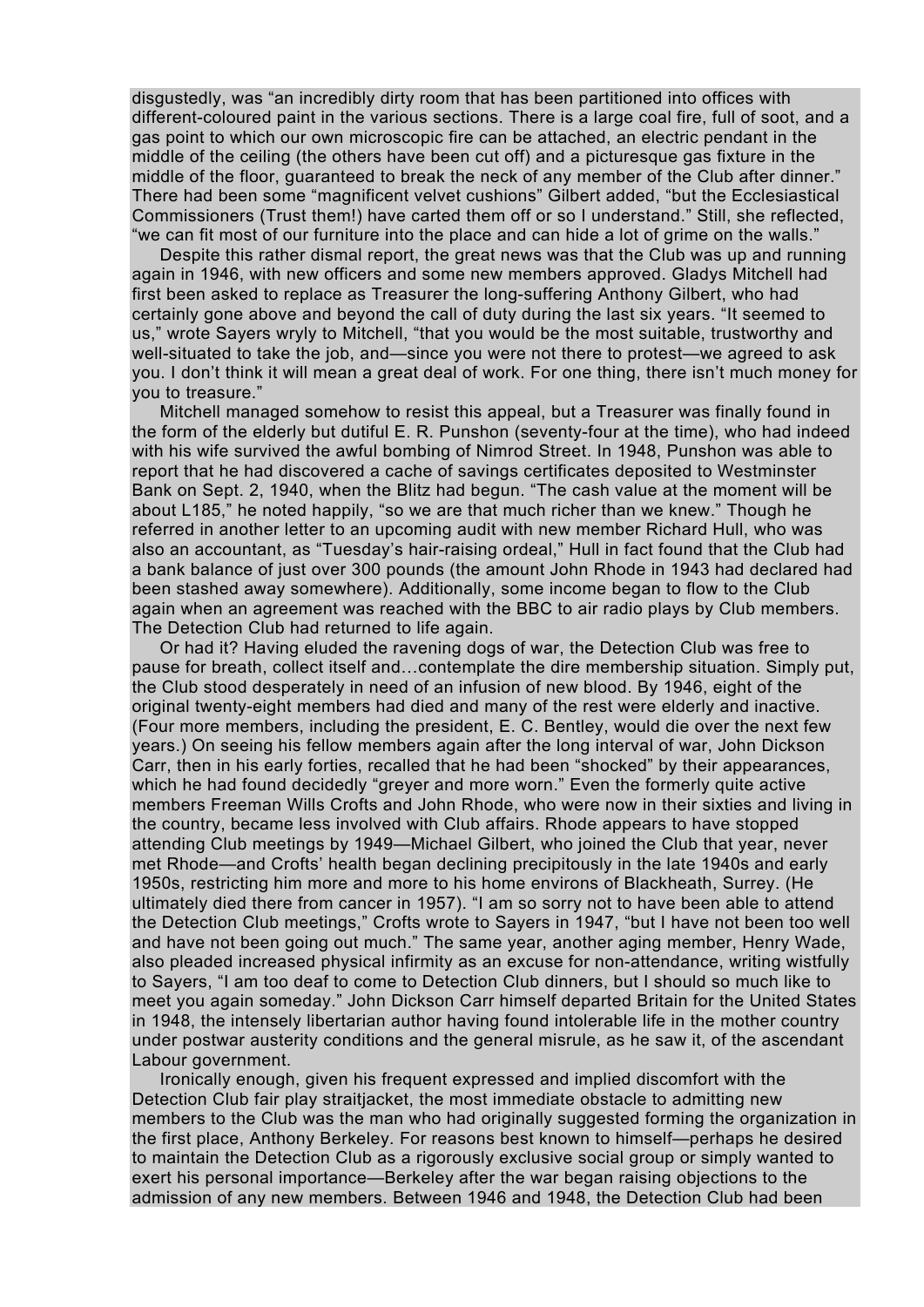disgustedly, was "an incredibly dirty room that has been partitioned into offices with different-coloured paint in the various sections. There is a large coal fire, full of soot, and a gas point to which our own microscopic fire can be attached, an electric pendant in the middle of the ceiling (the others have been cut off) and a picturesque gas fixture in the middle of the floor, guaranteed to break the neck of any member of the Club after dinner." There had been some "magnificent velvet cushions" Gilbert added, "but the Ecclesiastical Commissioners (Trust them!) have carted them off or so I understand." Still, she reflected, "we can fit most of our furniture into the place and can hide a lot of grime on the walls."

Despite this rather dismal report, the great news was that the Club was up and running again in 1946, with new officers and some new members approved. Gladys Mitchell had first been asked to replace as Treasurer the long-suffering Anthony Gilbert, who had certainly gone above and beyond the call of duty during the last six years. "It seemed to us," wrote Sayers wryly to Mitchell, "that you would be the most suitable, trustworthy and well-situated to take the job, and—since you were not there to protest—we agreed to ask you. I don't think it will mean a great deal of work. For one thing, there isn't much money for you to treasure."

Mitchell managed somehow to resist this appeal, but a Treasurer was finally found in the form of the elderly but dutiful E. R. Punshon (seventy-four at the time), who had indeed with his wife survived the awful bombing of Nimrod Street. In 1948, Punshon was able to report that he had discovered a cache of savings certificates deposited to Westminster Bank on Sept. 2, 1940, when the Blitz had begun. "The cash value at the moment will be about L185," he noted happily, "so we are that much richer than we knew." Though he referred in another letter to an upcoming audit with new member Richard Hull, who was also an accountant, as "Tuesday's hair-raising ordeal," Hull in fact found that the Club had a bank balance of just over 300 pounds (the amount John Rhode in 1943 had declared had been stashed away somewhere). Additionally, some income began to flow to the Club again when an agreement was reached with the BBC to air radio plays by Club members. The Detection Club had returned to life again.

Or had it? Having eluded the ravening dogs of war, the Detection Club was free to pause for breath, collect itself and…contemplate the dire membership situation. Simply put, the Club stood desperately in need of an infusion of new blood. By 1946, eight of the original twenty-eight members had died and many of the rest were elderly and inactive. (Four more members, including the president, E. C. Bentley, would die over the next few years.) On seeing his fellow members again after the long interval of war, John Dickson Carr, then in his early forties, recalled that he had been "shocked" by their appearances, which he had found decidedly "greyer and more worn." Even the formerly quite active members Freeman Wills Crofts and John Rhode, who were now in their sixties and living in the country, became less involved with Club affairs. Rhode appears to have stopped attending Club meetings by 1949—Michael Gilbert, who joined the Club that year, never met Rhode—and Crofts' health began declining precipitously in the late 1940s and early 1950s, restricting him more and more to his home environs of Blackheath, Surrey. (He ultimately died there from cancer in 1957). "I am so sorry not to have been able to attend the Detection Club meetings," Crofts wrote to Sayers in 1947, "but I have not been too well and have not been going out much." The same year, another aging member, Henry Wade, also pleaded increased physical infirmity as an excuse for non-attendance, writing wistfully to Sayers, "I am too deaf to come to Detection Club dinners, but I should so much like to meet you again someday." John Dickson Carr himself departed Britain for the United States in 1948, the intensely libertarian author having found intolerable life in the mother country under postwar austerity conditions and the general misrule, as he saw it, of the ascendant Labour government.

Ironically enough, given his frequent expressed and implied discomfort with the Detection Club fair play straitjacket, the most immediate obstacle to admitting new members to the Club was the man who had originally suggested forming the organization in the first place, Anthony Berkeley. For reasons best known to himself—perhaps he desired to maintain the Detection Club as a rigorously exclusive social group or simply wanted to exert his personal importance—Berkeley after the war began raising objections to the admission of any new members. Between 1946 and 1948, the Detection Club had been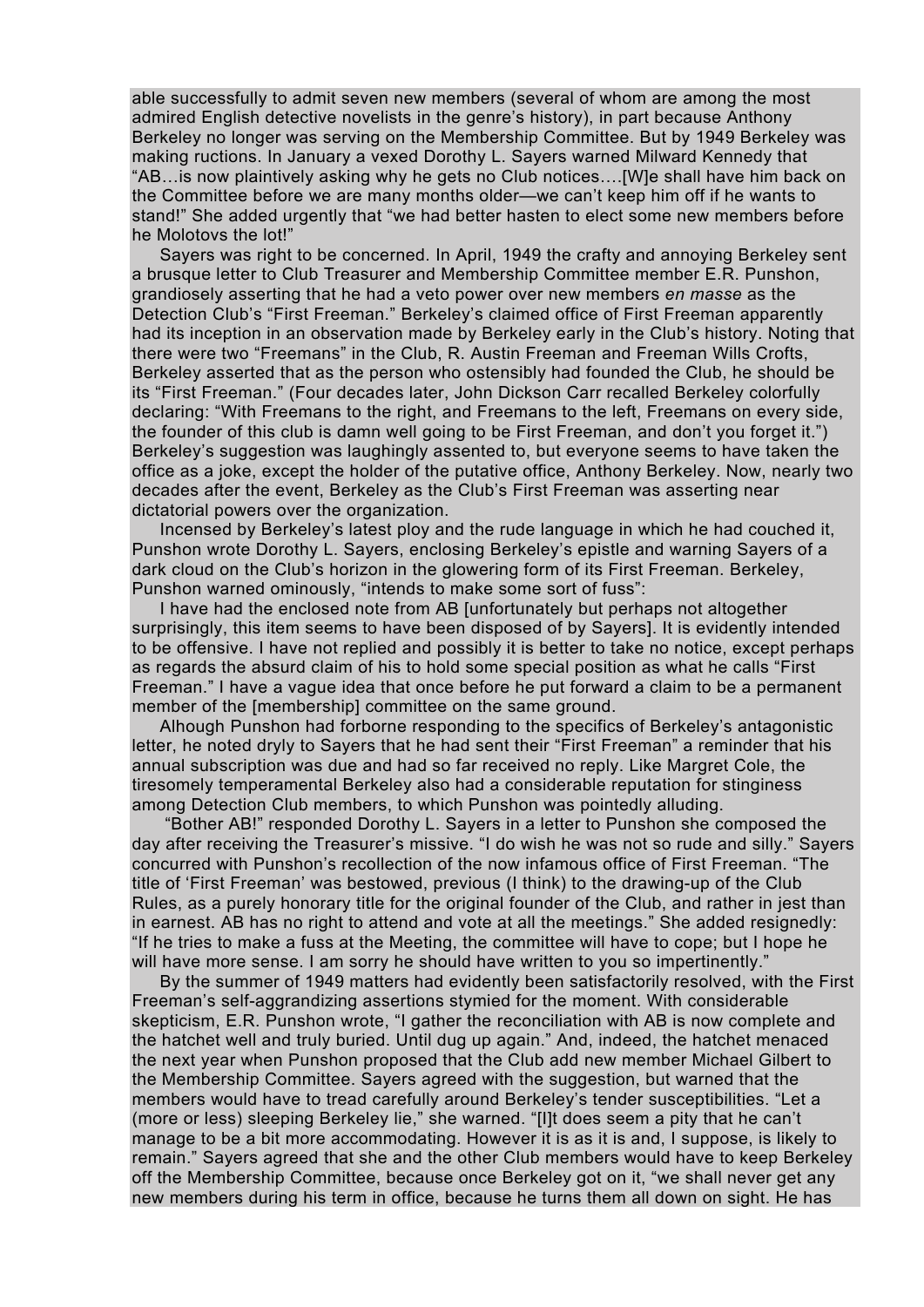able successfully to admit seven new members (several of whom are among the most admired English detective novelists in the genre's history), in part because Anthony Berkeley no longer was serving on the Membership Committee. But by 1949 Berkeley was making ructions. In January a vexed Dorothy L. Sayers warned Milward Kennedy that "AB…is now plaintively asking why he gets no Club notices….[W]e shall have him back on the Committee before we are many months older—we can't keep him off if he wants to stand!" She added urgently that "we had better hasten to elect some new members before he Molotovs the lot!"

Sayers was right to be concerned. In April, 1949 the crafty and annoying Berkeley sent a brusque letter to Club Treasurer and Membership Committee member E.R. Punshon, grandiosely asserting that he had a veto power over new members *en masse* as the Detection Club's "First Freeman." Berkeley's claimed office of First Freeman apparently had its inception in an observation made by Berkeley early in the Club's history. Noting that there were two "Freemans" in the Club, R. Austin Freeman and Freeman Wills Crofts, Berkeley asserted that as the person who ostensibly had founded the Club, he should be its "First Freeman." (Four decades later, John Dickson Carr recalled Berkeley colorfully declaring: "With Freemans to the right, and Freemans to the left, Freemans on every side, the founder of this club is damn well going to be First Freeman, and don't you forget it.") Berkeley's suggestion was laughingly assented to, but everyone seems to have taken the office as a joke, except the holder of the putative office, Anthony Berkeley. Now, nearly two decades after the event, Berkeley as the Club's First Freeman was asserting near dictatorial powers over the organization.

Incensed by Berkeley's latest ploy and the rude language in which he had couched it, Punshon wrote Dorothy L. Sayers, enclosing Berkeley's epistle and warning Sayers of a dark cloud on the Club's horizon in the glowering form of its First Freeman. Berkeley, Punshon warned ominously, "intends to make some sort of fuss":

I have had the enclosed note from AB [unfortunately but perhaps not altogether surprisingly, this item seems to have been disposed of by Sayers]. It is evidently intended to be offensive. I have not replied and possibly it is better to take no notice, except perhaps as regards the absurd claim of his to hold some special position as what he calls "First Freeman." I have a vague idea that once before he put forward a claim to be a permanent member of the [membership] committee on the same ground.

Alhough Punshon had forborne responding to the specifics of Berkeley's antagonistic letter, he noted dryly to Sayers that he had sent their "First Freeman" a reminder that his annual subscription was due and had so far received no reply. Like Margret Cole, the tiresomely temperamental Berkeley also had a considerable reputation for stinginess among Detection Club members, to which Punshon was pointedly alluding.

 "Bother AB!" responded Dorothy L. Sayers in a letter to Punshon she composed the day after receiving the Treasurer's missive. "I do wish he was not so rude and silly." Sayers concurred with Punshon's recollection of the now infamous office of First Freeman. "The title of 'First Freeman' was bestowed, previous (I think) to the drawing-up of the Club Rules, as a purely honorary title for the original founder of the Club, and rather in jest than in earnest. AB has no right to attend and vote at all the meetings." She added resignedly: "If he tries to make a fuss at the Meeting, the committee will have to cope; but I hope he will have more sense. I am sorry he should have written to you so impertinently."

By the summer of 1949 matters had evidently been satisfactorily resolved, with the First Freeman's self-aggrandizing assertions stymied for the moment. With considerable skepticism, E.R. Punshon wrote, "I gather the reconciliation with AB is now complete and the hatchet well and truly buried. Until dug up again." And, indeed, the hatchet menaced the next year when Punshon proposed that the Club add new member Michael Gilbert to the Membership Committee. Sayers agreed with the suggestion, but warned that the members would have to tread carefully around Berkeley's tender susceptibilities. "Let a (more or less) sleeping Berkeley lie," she warned. "[I]t does seem a pity that he can't manage to be a bit more accommodating. However it is as it is and, I suppose, is likely to remain." Sayers agreed that she and the other Club members would have to keep Berkeley off the Membership Committee, because once Berkeley got on it, "we shall never get any new members during his term in office, because he turns them all down on sight. He has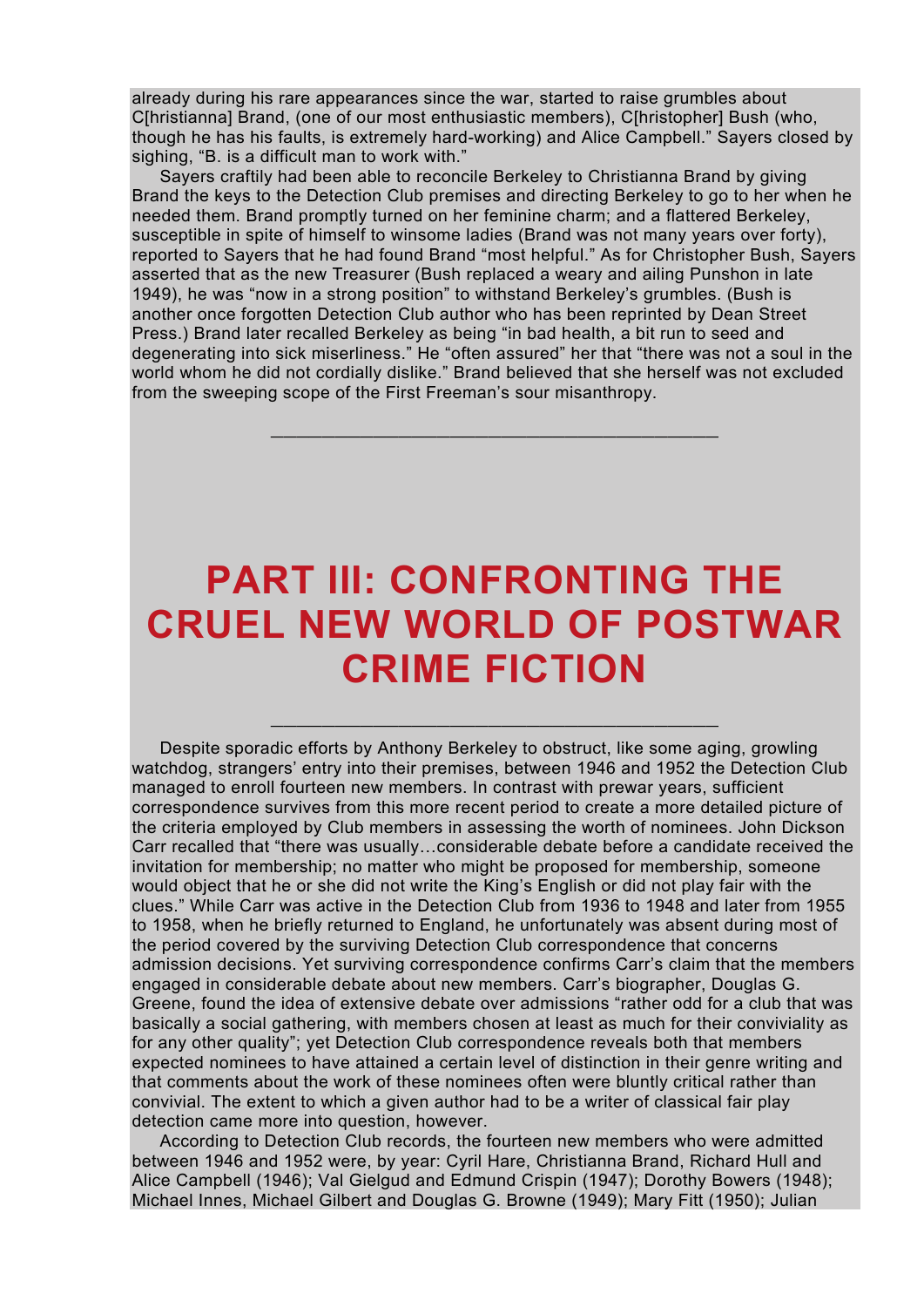already during his rare appearances since the war, started to raise grumbles about C[hristianna] Brand, (one of our most enthusiastic members), C[hristopher] Bush (who, though he has his faults, is extremely hard-working) and Alice Campbell." Sayers closed by sighing, "B. is a difficult man to work with."

Sayers craftily had been able to reconcile Berkeley to Christianna Brand by giving Brand the keys to the Detection Club premises and directing Berkeley to go to her when he needed them. Brand promptly turned on her feminine charm; and a flattered Berkeley, susceptible in spite of himself to winsome ladies (Brand was not many years over forty), reported to Sayers that he had found Brand "most helpful." As for Christopher Bush, Sayers asserted that as the new Treasurer (Bush replaced a weary and ailing Punshon in late 1949), he was "now in a strong position" to withstand Berkeley's grumbles. (Bush is another once forgotten Detection Club author who has been reprinted by Dean Street Press.) Brand later recalled Berkeley as being "in bad health, a bit run to seed and degenerating into sick miserliness." He "often assured" her that "there was not a soul in the world whom he did not cordially dislike." Brand believed that she herself was not excluded from the sweeping scope of the First Freeman's sour misanthropy.

\_\_\_\_\_\_\_\_\_\_\_\_\_\_\_\_\_\_\_\_\_\_\_\_\_\_\_\_\_\_\_\_\_\_\_

# **PART III: CONFRONTING THE CRUEL NEW WORLD OF POSTWAR CRIME FICTION**

\_\_\_\_\_\_\_\_\_\_\_\_\_\_\_\_\_\_\_\_\_\_\_\_\_\_\_\_\_\_\_\_\_\_\_

Despite sporadic efforts by Anthony Berkeley to obstruct, like some aging, growling watchdog, strangers' entry into their premises, between 1946 and 1952 the Detection Club managed to enroll fourteen new members. In contrast with prewar years, sufficient correspondence survives from this more recent period to create a more detailed picture of the criteria employed by Club members in assessing the worth of nominees. John Dickson Carr recalled that "there was usually…considerable debate before a candidate received the invitation for membership; no matter who might be proposed for membership, someone would object that he or she did not write the King's English or did not play fair with the clues." While Carr was active in the Detection Club from 1936 to 1948 and later from 1955 to 1958, when he briefly returned to England, he unfortunately was absent during most of the period covered by the surviving Detection Club correspondence that concerns admission decisions. Yet surviving correspondence confirms Carr's claim that the members engaged in considerable debate about new members. Carr's biographer, Douglas G. Greene, found the idea of extensive debate over admissions "rather odd for a club that was basically a social gathering, with members chosen at least as much for their conviviality as for any other quality"; yet Detection Club correspondence reveals both that members expected nominees to have attained a certain level of distinction in their genre writing and that comments about the work of these nominees often were bluntly critical rather than convivial. The extent to which a given author had to be a writer of classical fair play detection came more into question, however.

According to Detection Club records, the fourteen new members who were admitted between 1946 and 1952 were, by year: Cyril Hare, Christianna Brand, Richard Hull and Alice Campbell (1946); Val Gielgud and Edmund Crispin (1947); Dorothy Bowers (1948); Michael Innes, Michael Gilbert and Douglas G. Browne (1949); Mary Fitt (1950); Julian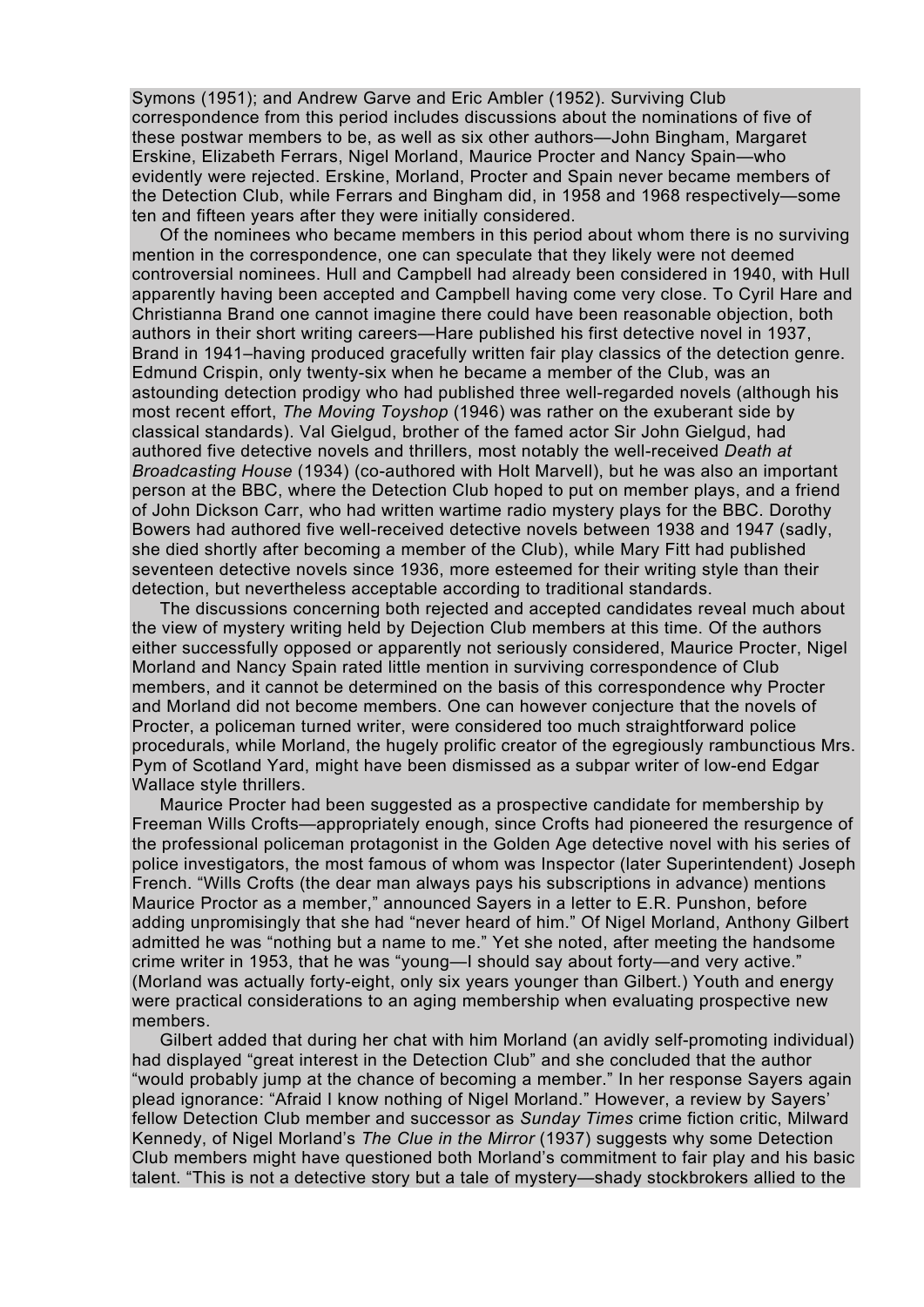Symons (1951); and Andrew Garve and Eric Ambler (1952). Surviving Club correspondence from this period includes discussions about the nominations of five of these postwar members to be, as well as six other authors—John Bingham, Margaret Erskine, Elizabeth Ferrars, Nigel Morland, Maurice Procter and Nancy Spain—who evidently were rejected. Erskine, Morland, Procter and Spain never became members of the Detection Club, while Ferrars and Bingham did, in 1958 and 1968 respectively—some ten and fifteen years after they were initially considered.

Of the nominees who became members in this period about whom there is no surviving mention in the correspondence, one can speculate that they likely were not deemed controversial nominees. Hull and Campbell had already been considered in 1940, with Hull apparently having been accepted and Campbell having come very close. To Cyril Hare and Christianna Brand one cannot imagine there could have been reasonable objection, both authors in their short writing careers—Hare published his first detective novel in 1937, Brand in 1941–having produced gracefully written fair play classics of the detection genre. Edmund Crispin, only twenty-six when he became a member of the Club, was an astounding detection prodigy who had published three well-regarded novels (although his most recent effort, *The Moving Toyshop* (1946) was rather on the exuberant side by classical standards). Val Gielgud, brother of the famed actor Sir John Gielgud, had authored five detective novels and thrillers, most notably the well-received *Death at Broadcasting House* (1934) (co-authored with Holt Marvell), but he was also an important person at the BBC, where the Detection Club hoped to put on member plays, and a friend of John Dickson Carr, who had written wartime radio mystery plays for the BBC. Dorothy Bowers had authored five well-received detective novels between 1938 and 1947 (sadly, she died shortly after becoming a member of the Club), while Mary Fitt had published seventeen detective novels since 1936, more esteemed for their writing style than their detection, but nevertheless acceptable according to traditional standards.

The discussions concerning both rejected and accepted candidates reveal much about the view of mystery writing held by Dejection Club members at this time. Of the authors either successfully opposed or apparently not seriously considered, Maurice Procter, Nigel Morland and Nancy Spain rated little mention in surviving correspondence of Club members, and it cannot be determined on the basis of this correspondence why Procter and Morland did not become members. One can however conjecture that the novels of Procter, a policeman turned writer, were considered too much straightforward police procedurals, while Morland, the hugely prolific creator of the egregiously rambunctious Mrs. Pym of Scotland Yard, might have been dismissed as a subpar writer of low-end Edgar Wallace style thrillers.

Maurice Procter had been suggested as a prospective candidate for membership by Freeman Wills Crofts—appropriately enough, since Crofts had pioneered the resurgence of the professional policeman protagonist in the Golden Age detective novel with his series of police investigators, the most famous of whom was Inspector (later Superintendent) Joseph French. "Wills Crofts (the dear man always pays his subscriptions in advance) mentions Maurice Proctor as a member," announced Sayers in a letter to E.R. Punshon, before adding unpromisingly that she had "never heard of him." Of Nigel Morland, Anthony Gilbert admitted he was "nothing but a name to me." Yet she noted, after meeting the handsome crime writer in 1953, that he was "young—I should say about forty—and very active." (Morland was actually forty-eight, only six years younger than Gilbert.) Youth and energy were practical considerations to an aging membership when evaluating prospective new members.

Gilbert added that during her chat with him Morland (an avidly self-promoting individual) had displayed "great interest in the Detection Club" and she concluded that the author "would probably jump at the chance of becoming a member." In her response Sayers again plead ignorance: "Afraid I know nothing of Nigel Morland." However, a review by Sayers' fellow Detection Club member and successor as *Sunday Times* crime fiction critic, Milward Kennedy, of Nigel Morland's *The Clue in the Mirror* (1937) suggests why some Detection Club members might have questioned both Morland's commitment to fair play and his basic talent. "This is not a detective story but a tale of mystery—shady stockbrokers allied to the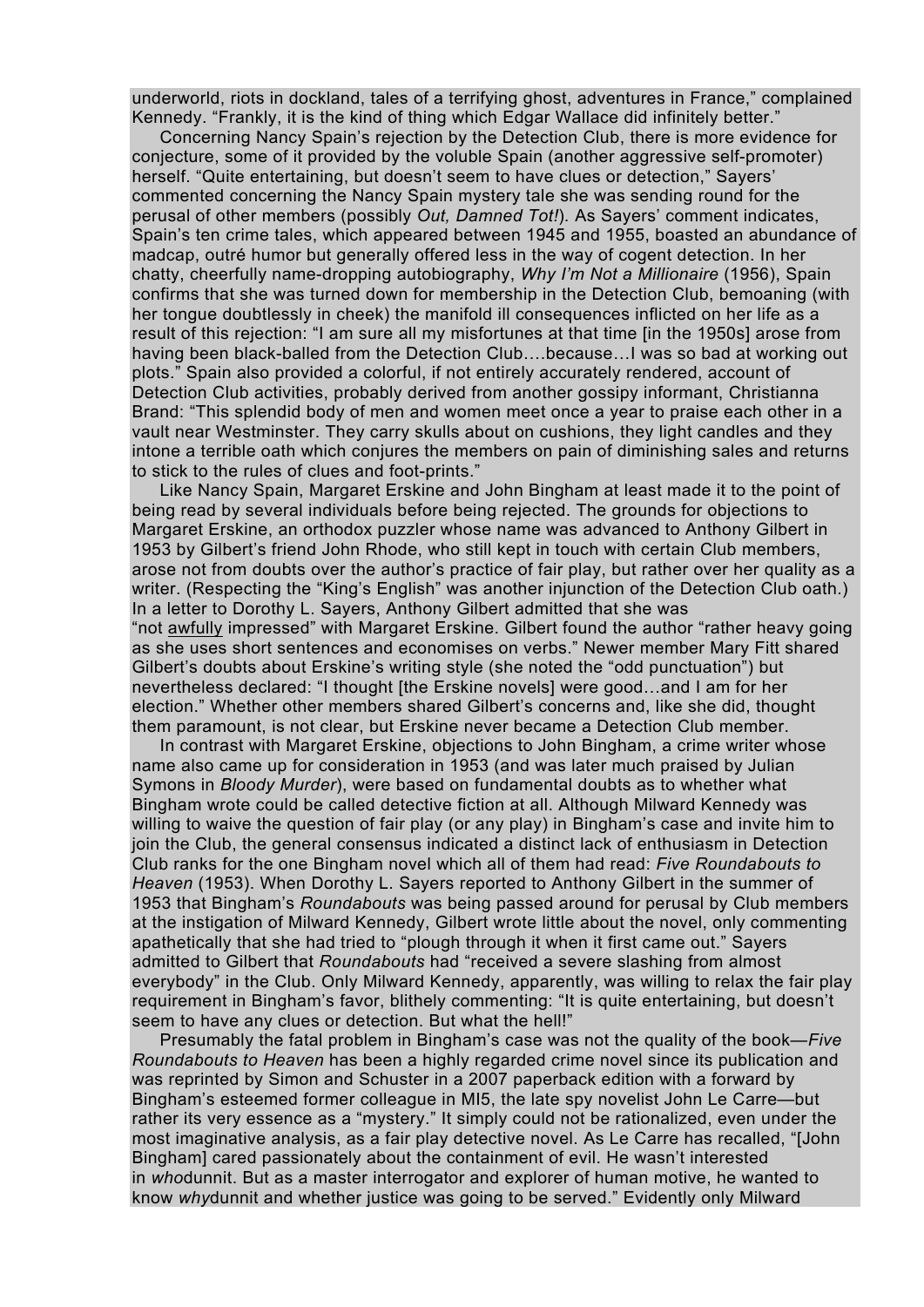underworld, riots in dockland, tales of a terrifying ghost, adventures in France," complained Kennedy. "Frankly, it is the kind of thing which Edgar Wallace did infinitely better."

Concerning Nancy Spain's rejection by the Detection Club, there is more evidence for conjecture, some of it provided by the voluble Spain (another aggressive self-promoter) herself. "Quite entertaining, but doesn't seem to have clues or detection," Sayers' commented concerning the Nancy Spain mystery tale she was sending round for the perusal of other members (possibly *Out, Damned Tot!*)*.* As Sayers' comment indicates, Spain's ten crime tales, which appeared between 1945 and 1955, boasted an abundance of madcap, outré humor but generally offered less in the way of cogent detection. In her chatty, cheerfully name-dropping autobiography, *Why I'm Not a Millionaire* (1956), Spain confirms that she was turned down for membership in the Detection Club, bemoaning (with her tongue doubtlessly in cheek) the manifold ill consequences inflicted on her life as a result of this rejection: "I am sure all my misfortunes at that time [in the 1950s] arose from having been black-balled from the Detection Club….because…I was so bad at working out plots." Spain also provided a colorful, if not entirely accurately rendered, account of Detection Club activities, probably derived from another gossipy informant, Christianna Brand: "This splendid body of men and women meet once a year to praise each other in a vault near Westminster. They carry skulls about on cushions, they light candles and they intone a terrible oath which conjures the members on pain of diminishing sales and returns to stick to the rules of clues and foot-prints."

Like Nancy Spain, Margaret Erskine and John Bingham at least made it to the point of being read by several individuals before being rejected. The grounds for objections to Margaret Erskine, an orthodox puzzler whose name was advanced to Anthony Gilbert in 1953 by Gilbert's friend John Rhode, who still kept in touch with certain Club members, arose not from doubts over the author's practice of fair play, but rather over her quality as a writer. (Respecting the "King's English" was another injunction of the Detection Club oath.) In a letter to Dorothy L. Sayers, Anthony Gilbert admitted that she was "not awfully impressed" with Margaret Erskine. Gilbert found the author "rather heavy going as she uses short sentences and economises on verbs." Newer member Mary Fitt shared Gilbert's doubts about Erskine's writing style (she noted the "odd punctuation") but nevertheless declared: "I thought [the Erskine novels] were good…and I am for her election." Whether other members shared Gilbert's concerns and, like she did, thought them paramount, is not clear, but Erskine never became a Detection Club member.

In contrast with Margaret Erskine, objections to John Bingham, a crime writer whose name also came up for consideration in 1953 (and was later much praised by Julian Symons in *Bloody Murder*), were based on fundamental doubts as to whether what Bingham wrote could be called detective fiction at all. Although Milward Kennedy was willing to waive the question of fair play (or any play) in Bingham's case and invite him to join the Club, the general consensus indicated a distinct lack of enthusiasm in Detection Club ranks for the one Bingham novel which all of them had read: *Five Roundabouts to Heaven* (1953). When Dorothy L. Sayers reported to Anthony Gilbert in the summer of 1953 that Bingham's *Roundabouts* was being passed around for perusal by Club members at the instigation of Milward Kennedy, Gilbert wrote little about the novel, only commenting apathetically that she had tried to "plough through it when it first came out." Sayers admitted to Gilbert that *Roundabouts* had "received a severe slashing from almost everybody" in the Club. Only Milward Kennedy, apparently, was willing to relax the fair play requirement in Bingham's favor, blithely commenting: "It is quite entertaining, but doesn't seem to have any clues or detection. But what the hell!"

Presumably the fatal problem in Bingham's case was not the quality of the book—*Five Roundabouts to Heaven* has been a highly regarded crime novel since its publication and was reprinted by Simon and Schuster in a 2007 paperback edition with a forward by Bingham's esteemed former colleague in MI5, the late spy novelist John Le Carre—but rather its very essence as a "mystery." It simply could not be rationalized, even under the most imaginative analysis, as a fair play detective novel. As Le Carre has recalled, "[John Bingham] cared passionately about the containment of evil. He wasn't interested in *who*dunnit. But as a master interrogator and explorer of human motive, he wanted to know *why*dunnit and whether justice was going to be served." Evidently only Milward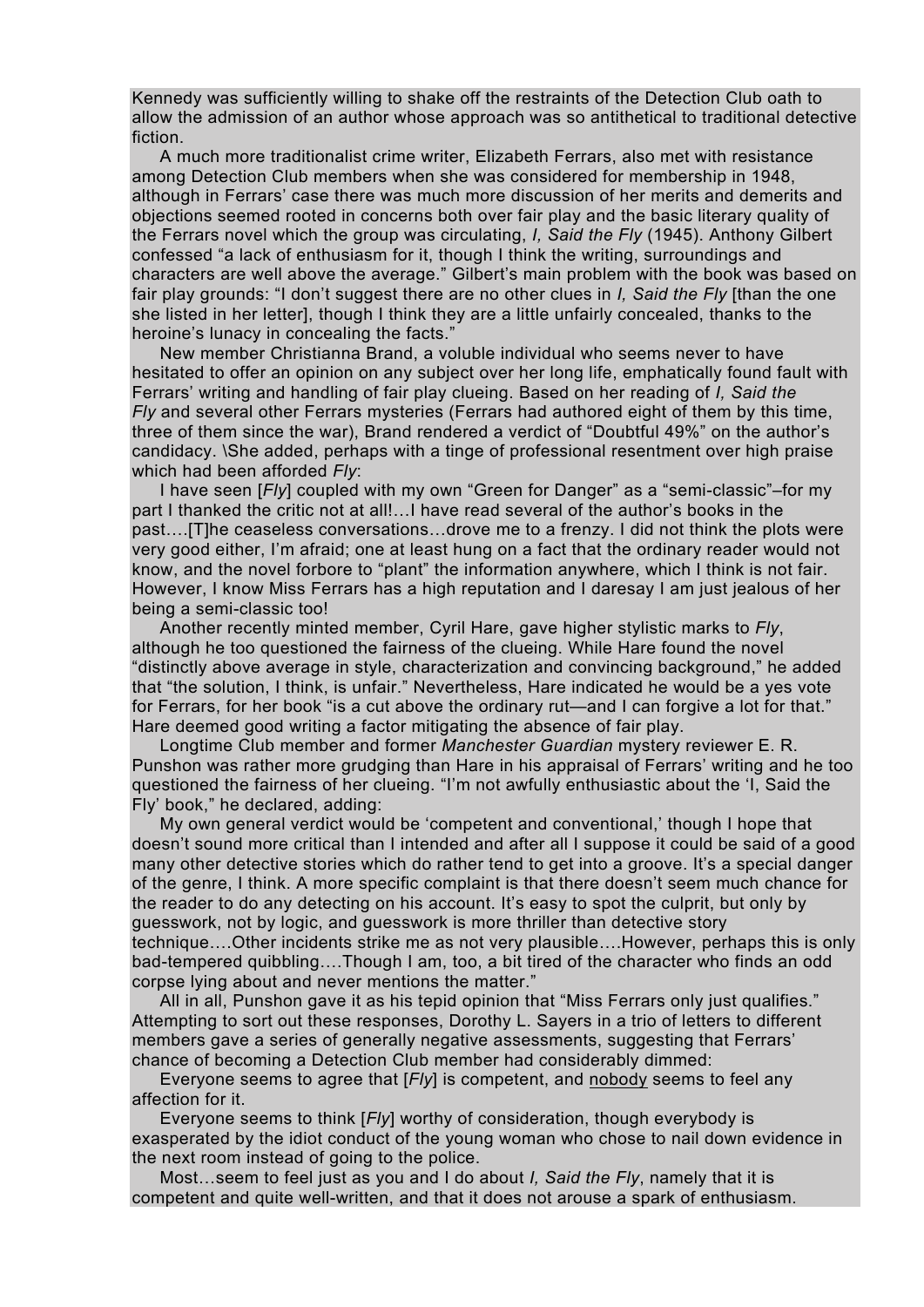Kennedy was sufficiently willing to shake off the restraints of the Detection Club oath to allow the admission of an author whose approach was so antithetical to traditional detective fiction.

A much more traditionalist crime writer, Elizabeth Ferrars, also met with resistance among Detection Club members when she was considered for membership in 1948, although in Ferrars' case there was much more discussion of her merits and demerits and objections seemed rooted in concerns both over fair play and the basic literary quality of the Ferrars novel which the group was circulating, *I, Said the Fly* (1945). Anthony Gilbert confessed "a lack of enthusiasm for it, though I think the writing, surroundings and characters are well above the average." Gilbert's main problem with the book was based on fair play grounds: "I don't suggest there are no other clues in *I, Said the Fly* [than the one she listed in her letter], though I think they are a little unfairly concealed, thanks to the heroine's lunacy in concealing the facts."

New member Christianna Brand, a voluble individual who seems never to have hesitated to offer an opinion on any subject over her long life, emphatically found fault with Ferrars' writing and handling of fair play clueing. Based on her reading of *I, Said the Fly* and several other Ferrars mysteries (Ferrars had authored eight of them by this time, three of them since the war), Brand rendered a verdict of "Doubtful 49%" on the author's candidacy. \She added, perhaps with a tinge of professional resentment over high praise which had been afforded *Fly*:

I have seen [*Fly*] coupled with my own "Green for Danger" as a "semi-classic"–for my part I thanked the critic not at all!…I have read several of the author's books in the past….[T]he ceaseless conversations…drove me to a frenzy. I did not think the plots were very good either, I'm afraid; one at least hung on a fact that the ordinary reader would not know, and the novel forbore to "plant" the information anywhere, which I think is not fair. However, I know Miss Ferrars has a high reputation and I daresay I am just jealous of her being a semi-classic too!

Another recently minted member, Cyril Hare, gave higher stylistic marks to *Fly*, although he too questioned the fairness of the clueing. While Hare found the novel "distinctly above average in style, characterization and convincing background," he added that "the solution, I think, is unfair." Nevertheless, Hare indicated he would be a yes vote for Ferrars, for her book "is a cut above the ordinary rut—and I can forgive a lot for that." Hare deemed good writing a factor mitigating the absence of fair play.

Longtime Club member and former *Manchester Guardian* mystery reviewer E. R. Punshon was rather more grudging than Hare in his appraisal of Ferrars' writing and he too questioned the fairness of her clueing. "I'm not awfully enthusiastic about the 'I, Said the Fly' book," he declared, adding:

My own general verdict would be 'competent and conventional,' though I hope that doesn't sound more critical than I intended and after all I suppose it could be said of a good many other detective stories which do rather tend to get into a groove. It's a special danger of the genre, I think. A more specific complaint is that there doesn't seem much chance for the reader to do any detecting on his account. It's easy to spot the culprit, but only by guesswork, not by logic, and guesswork is more thriller than detective story technique….Other incidents strike me as not very plausible….However, perhaps this is only bad-tempered quibbling….Though I am, too, a bit tired of the character who finds an odd corpse lying about and never mentions the matter."

All in all, Punshon gave it as his tepid opinion that "Miss Ferrars only just qualifies." Attempting to sort out these responses, Dorothy L. Sayers in a trio of letters to different members gave a series of generally negative assessments, suggesting that Ferrars' chance of becoming a Detection Club member had considerably dimmed:

Everyone seems to agree that [*Fly*] is competent, and nobody seems to feel any affection for it.

Everyone seems to think [*Fly*] worthy of consideration, though everybody is exasperated by the idiot conduct of the young woman who chose to nail down evidence in the next room instead of going to the police.

Most…seem to feel just as you and I do about *I, Said the Fly*, namely that it is competent and quite well-written, and that it does not arouse a spark of enthusiasm.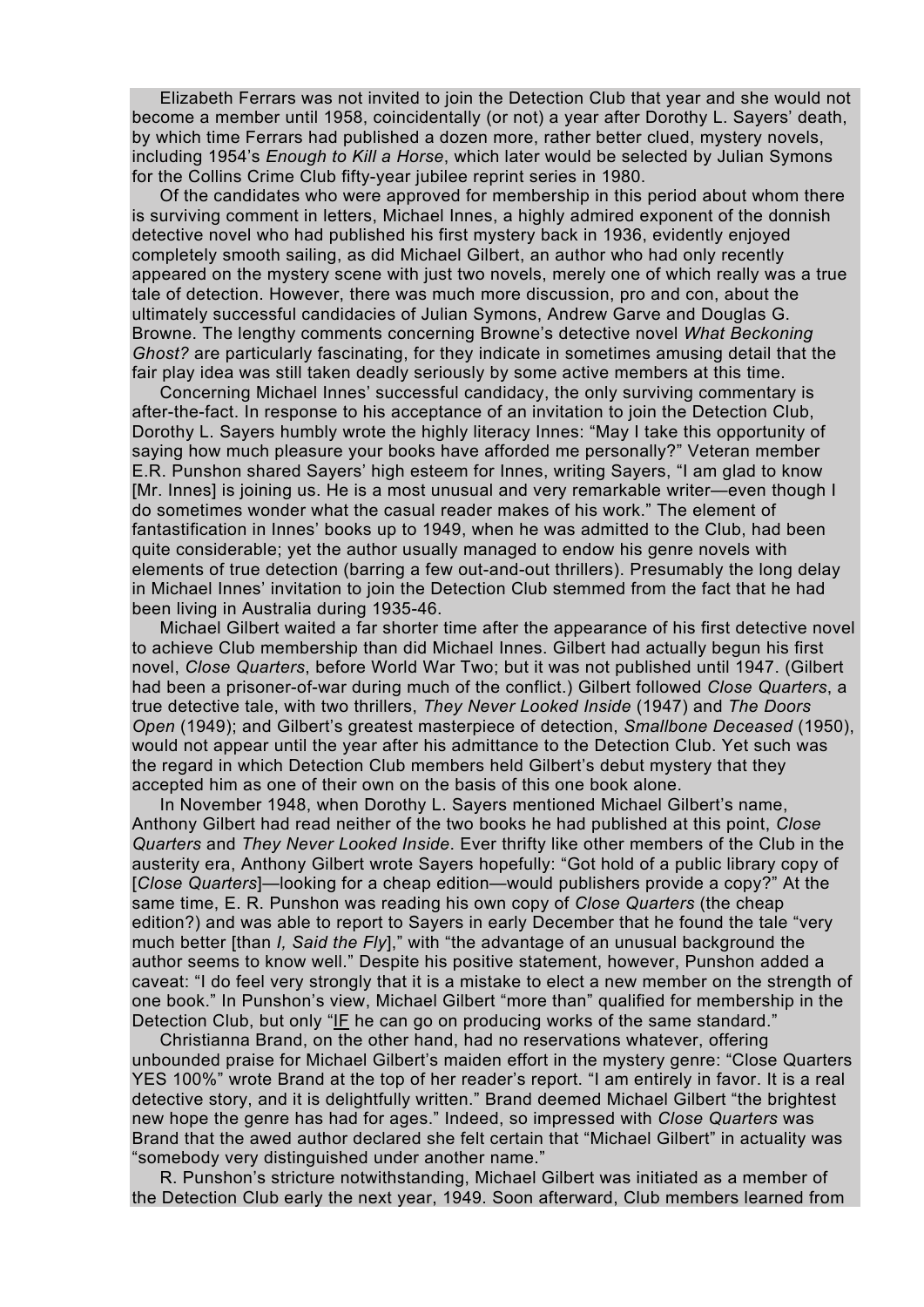Elizabeth Ferrars was not invited to join the Detection Club that year and she would not become a member until 1958, coincidentally (or not) a year after Dorothy L. Sayers' death, by which time Ferrars had published a dozen more, rather better clued, mystery novels, including 1954's *Enough to Kill a Horse*, which later would be selected by Julian Symons for the Collins Crime Club fifty-year jubilee reprint series in 1980.

Of the candidates who were approved for membership in this period about whom there is surviving comment in letters, Michael Innes, a highly admired exponent of the donnish detective novel who had published his first mystery back in 1936, evidently enjoyed completely smooth sailing, as did Michael Gilbert, an author who had only recently appeared on the mystery scene with just two novels, merely one of which really was a true tale of detection. However, there was much more discussion, pro and con, about the ultimately successful candidacies of Julian Symons, Andrew Garve and Douglas G. Browne. The lengthy comments concerning Browne's detective novel *What Beckoning Ghost?* are particularly fascinating, for they indicate in sometimes amusing detail that the fair play idea was still taken deadly seriously by some active members at this time.

Concerning Michael Innes' successful candidacy, the only surviving commentary is after-the-fact. In response to his acceptance of an invitation to join the Detection Club, Dorothy L. Sayers humbly wrote the highly literacy Innes: "May I take this opportunity of saying how much pleasure your books have afforded me personally?" Veteran member E.R. Punshon shared Sayers' high esteem for Innes, writing Sayers, "I am glad to know [Mr. Innes] is joining us. He is a most unusual and very remarkable writer—even though I do sometimes wonder what the casual reader makes of his work." The element of fantastification in Innes' books up to 1949, when he was admitted to the Club, had been quite considerable; yet the author usually managed to endow his genre novels with elements of true detection (barring a few out-and-out thrillers). Presumably the long delay in Michael Innes' invitation to join the Detection Club stemmed from the fact that he had been living in Australia during 1935-46.

Michael Gilbert waited a far shorter time after the appearance of his first detective novel to achieve Club membership than did Michael Innes. Gilbert had actually begun his first novel, *Close Quarters*, before World War Two; but it was not published until 1947. (Gilbert had been a prisoner-of-war during much of the conflict.) Gilbert followed *Close Quarters*, a true detective tale, with two thrillers, *They Never Looked Inside* (1947) and *The Doors Open* (1949); and Gilbert's greatest masterpiece of detection, *Smallbone Deceased* (1950), would not appear until the year after his admittance to the Detection Club. Yet such was the regard in which Detection Club members held Gilbert's debut mystery that they accepted him as one of their own on the basis of this one book alone.

In November 1948, when Dorothy L. Sayers mentioned Michael Gilbert's name, Anthony Gilbert had read neither of the two books he had published at this point, *Close Quarters* and *They Never Looked Inside*. Ever thrifty like other members of the Club in the austerity era, Anthony Gilbert wrote Sayers hopefully: "Got hold of a public library copy of [*Close Quarters*]—looking for a cheap edition—would publishers provide a copy?" At the same time, E. R. Punshon was reading his own copy of *Close Quarters* (the cheap edition?) and was able to report to Sayers in early December that he found the tale "very much better [than *I, Said the Fly*]," with "the advantage of an unusual background the author seems to know well." Despite his positive statement, however, Punshon added a caveat: "I do feel very strongly that it is a mistake to elect a new member on the strength of one book." In Punshon's view, Michael Gilbert "more than" qualified for membership in the Detection Club, but only "IF he can go on producing works of the same standard."

Christianna Brand, on the other hand, had no reservations whatever, offering unbounded praise for Michael Gilbert's maiden effort in the mystery genre: "Close Quarters YES 100%" wrote Brand at the top of her reader's report. "I am entirely in favor. It is a real detective story, and it is delightfully written." Brand deemed Michael Gilbert "the brightest new hope the genre has had for ages." Indeed, so impressed with *Close Quarters* was Brand that the awed author declared she felt certain that "Michael Gilbert" in actuality was "somebody very distinguished under another name."

R. Punshon's stricture notwithstanding, Michael Gilbert was initiated as a member of the Detection Club early the next year, 1949. Soon afterward, Club members learned from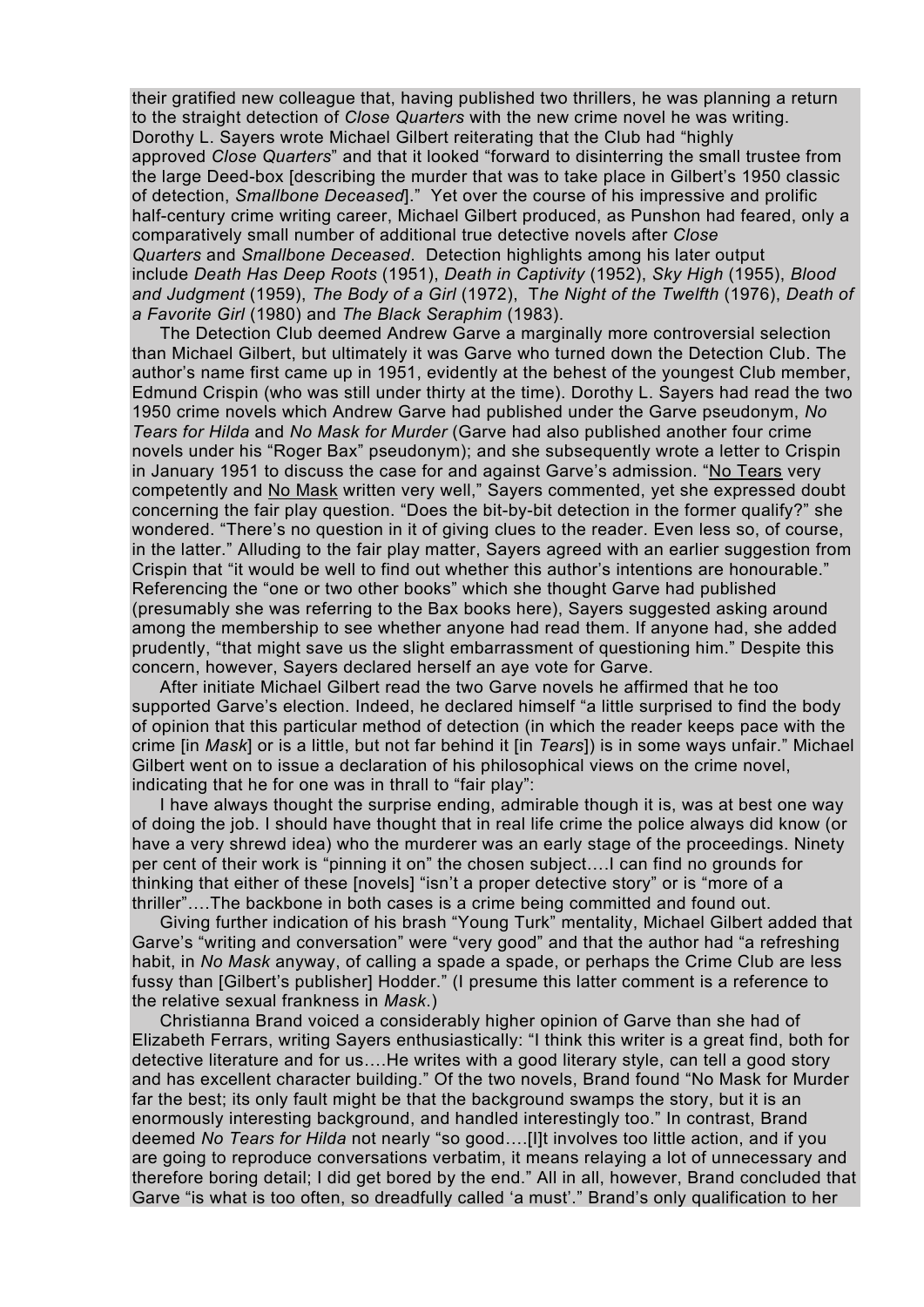their gratified new colleague that, having published two thrillers, he was planning a return to the straight detection of *Close Quarters* with the new crime novel he was writing. Dorothy L. Sayers wrote Michael Gilbert reiterating that the Club had "highly approved *Close Quarters*" and that it looked "forward to disinterring the small trustee from the large Deed-box [describing the murder that was to take place in Gilbert's 1950 classic of detection, *Smallbone Deceased*]." Yet over the course of his impressive and prolific half-century crime writing career, Michael Gilbert produced, as Punshon had feared, only a comparatively small number of additional true detective novels after *Close Quarters* and *Smallbone Deceased*. Detection highlights among his later output include *Death Has Deep Roots* (1951), *Death in Captivity* (1952), *Sky High* (1955), *Blood and Judgment* (1959), *The Body of a Girl* (1972), T*he Night of the Twelfth* (1976), *Death of a Favorite Girl* (1980) and *The Black Seraphim* (1983).

The Detection Club deemed Andrew Garve a marginally more controversial selection than Michael Gilbert, but ultimately it was Garve who turned down the Detection Club. The author's name first came up in 1951, evidently at the behest of the youngest Club member, Edmund Crispin (who was still under thirty at the time). Dorothy L. Sayers had read the two 1950 crime novels which Andrew Garve had published under the Garve pseudonym, *No Tears for Hilda* and *No Mask for Murder* (Garve had also published another four crime novels under his "Roger Bax" pseudonym); and she subsequently wrote a letter to Crispin in January 1951 to discuss the case for and against Garve's admission. "No Tears very competently and No Mask written very well," Sayers commented, yet she expressed doubt concerning the fair play question. "Does the bit-by-bit detection in the former qualify?" she wondered. "There's no question in it of giving clues to the reader. Even less so, of course, in the latter." Alluding to the fair play matter, Sayers agreed with an earlier suggestion from Crispin that "it would be well to find out whether this author's intentions are honourable." Referencing the "one or two other books" which she thought Garve had published (presumably she was referring to the Bax books here), Sayers suggested asking around among the membership to see whether anyone had read them. If anyone had, she added prudently, "that might save us the slight embarrassment of questioning him." Despite this concern, however, Sayers declared herself an aye vote for Garve.

After initiate Michael Gilbert read the two Garve novels he affirmed that he too supported Garve's election. Indeed, he declared himself "a little surprised to find the body of opinion that this particular method of detection (in which the reader keeps pace with the crime [in *Mask*] or is a little, but not far behind it [in *Tears*]) is in some ways unfair." Michael Gilbert went on to issue a declaration of his philosophical views on the crime novel, indicating that he for one was in thrall to "fair play":

I have always thought the surprise ending, admirable though it is, was at best one way of doing the job. I should have thought that in real life crime the police always did know (or have a very shrewd idea) who the murderer was an early stage of the proceedings. Ninety per cent of their work is "pinning it on" the chosen subject….I can find no grounds for thinking that either of these [novels] "isn't a proper detective story" or is "more of a thriller"….The backbone in both cases is a crime being committed and found out.

Giving further indication of his brash "Young Turk" mentality, Michael Gilbert added that Garve's "writing and conversation" were "very good" and that the author had "a refreshing habit, in *No Mask* anyway, of calling a spade a spade, or perhaps the Crime Club are less fussy than [Gilbert's publisher] Hodder." (I presume this latter comment is a reference to the relative sexual frankness in *Mask*.)

Christianna Brand voiced a considerably higher opinion of Garve than she had of Elizabeth Ferrars, writing Sayers enthusiastically: "I think this writer is a great find, both for detective literature and for us….He writes with a good literary style, can tell a good story and has excellent character building." Of the two novels, Brand found "No Mask for Murder far the best; its only fault might be that the background swamps the story, but it is an enormously interesting background, and handled interestingly too." In contrast, Brand deemed *No Tears for Hilda* not nearly "so good….[I]t involves too little action, and if you are going to reproduce conversations verbatim, it means relaying a lot of unnecessary and therefore boring detail; I did get bored by the end." All in all, however, Brand concluded that Garve "is what is too often, so dreadfully called 'a must'." Brand's only qualification to her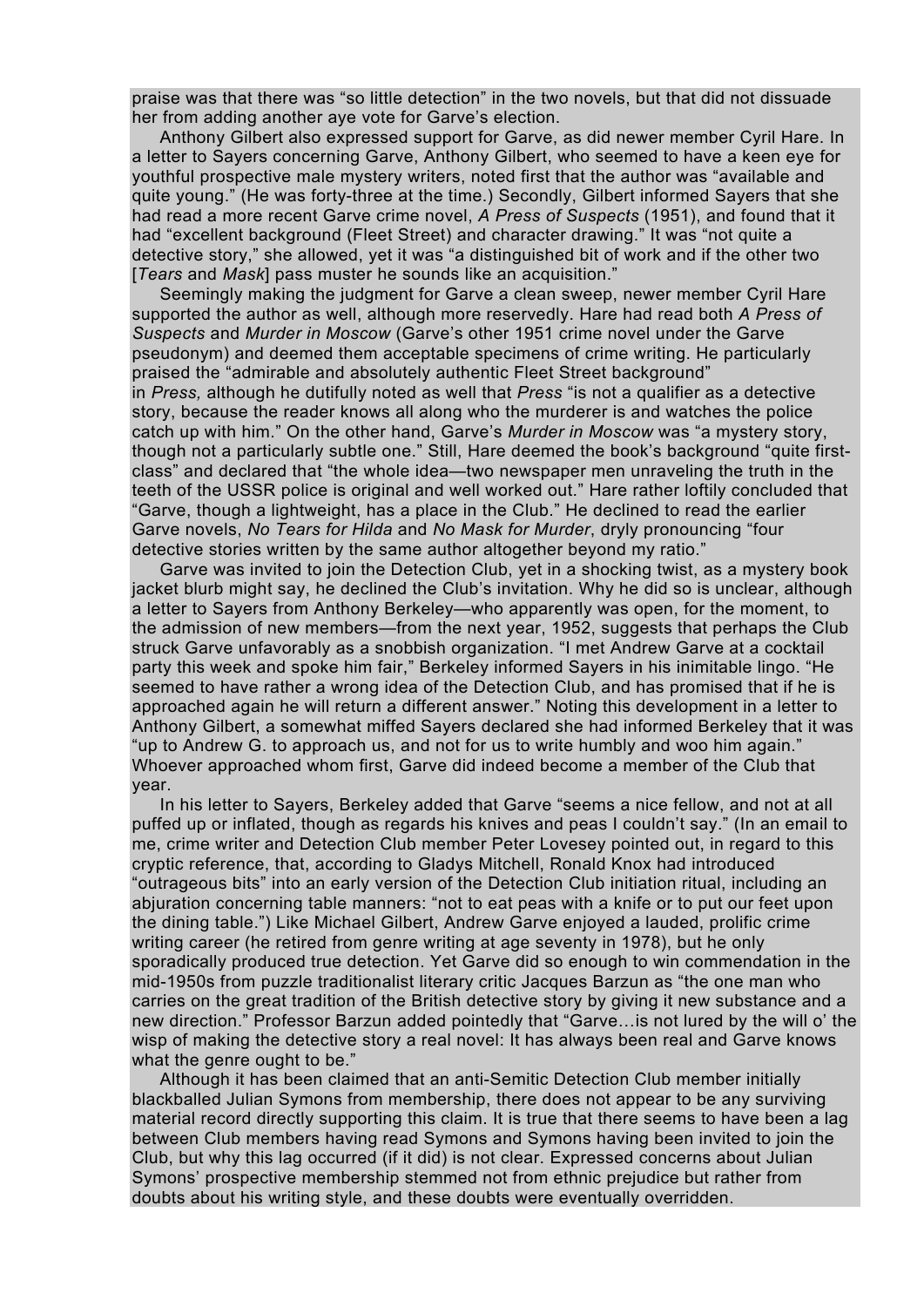praise was that there was "so little detection" in the two novels, but that did not dissuade her from adding another aye vote for Garve's election.

Anthony Gilbert also expressed support for Garve, as did newer member Cyril Hare. In a letter to Sayers concerning Garve, Anthony Gilbert, who seemed to have a keen eye for youthful prospective male mystery writers, noted first that the author was "available and quite young." (He was forty-three at the time.) Secondly, Gilbert informed Sayers that she had read a more recent Garve crime novel, *A Press of Suspects* (1951), and found that it had "excellent background (Fleet Street) and character drawing." It was "not quite a detective story," she allowed, yet it was "a distinguished bit of work and if the other two [*Tears* and *Mask*] pass muster he sounds like an acquisition."

Seemingly making the judgment for Garve a clean sweep, newer member Cyril Hare supported the author as well, although more reservedly. Hare had read both *A Press of Suspects* and *Murder in Moscow* (Garve's other 1951 crime novel under the Garve pseudonym) and deemed them acceptable specimens of crime writing. He particularly praised the "admirable and absolutely authentic Fleet Street background" in *Press,* although he dutifully noted as well that *Press* "is not a qualifier as a detective story, because the reader knows all along who the murderer is and watches the police catch up with him." On the other hand, Garve's *Murder in Moscow* was "a mystery story, though not a particularly subtle one." Still, Hare deemed the book's background "quite firstclass" and declared that "the whole idea—two newspaper men unraveling the truth in the teeth of the USSR police is original and well worked out." Hare rather loftily concluded that "Garve, though a lightweight, has a place in the Club." He declined to read the earlier Garve novels, *No Tears for Hilda* and *No Mask for Murder*, dryly pronouncing "four

detective stories written by the same author altogether beyond my ratio." Garve was invited to join the Detection Club, yet in a shocking twist, as a mystery book jacket blurb might say, he declined the Club's invitation. Why he did so is unclear, although a letter to Sayers from Anthony Berkeley—who apparently was open, for the moment, to the admission of new members—from the next year, 1952, suggests that perhaps the Club struck Garve unfavorably as a snobbish organization. "I met Andrew Garve at a cocktail party this week and spoke him fair," Berkeley informed Sayers in his inimitable lingo. "He seemed to have rather a wrong idea of the Detection Club, and has promised that if he is approached again he will return a different answer." Noting this development in a letter to Anthony Gilbert, a somewhat miffed Sayers declared she had informed Berkeley that it was "up to Andrew G. to approach us, and not for us to write humbly and woo him again." Whoever approached whom first, Garve did indeed become a member of the Club that year.

In his letter to Sayers, Berkeley added that Garve "seems a nice fellow, and not at all puffed up or inflated, though as regards his knives and peas I couldn't say." (In an email to me, crime writer and Detection Club member Peter Lovesey pointed out, in regard to this cryptic reference, that, according to Gladys Mitchell, Ronald Knox had introduced "outrageous bits" into an early version of the Detection Club initiation ritual, including an abjuration concerning table manners: "not to eat peas with a knife or to put our feet upon the dining table.") Like Michael Gilbert, Andrew Garve enjoyed a lauded, prolific crime writing career (he retired from genre writing at age seventy in 1978), but he only sporadically produced true detection. Yet Garve did so enough to win commendation in the mid-1950s from puzzle traditionalist literary critic Jacques Barzun as "the one man who carries on the great tradition of the British detective story by giving it new substance and a new direction." Professor Barzun added pointedly that "Garve…is not lured by the will o' the wisp of making the detective story a real novel: It has always been real and Garve knows what the genre ought to be."

Although it has been claimed that an anti-Semitic Detection Club member initially blackballed Julian Symons from membership, there does not appear to be any surviving material record directly supporting this claim. It is true that there seems to have been a lag between Club members having read Symons and Symons having been invited to join the Club, but why this lag occurred (if it did) is not clear. Expressed concerns about Julian Symons' prospective membership stemmed not from ethnic prejudice but rather from doubts about his writing style, and these doubts were eventually overridden.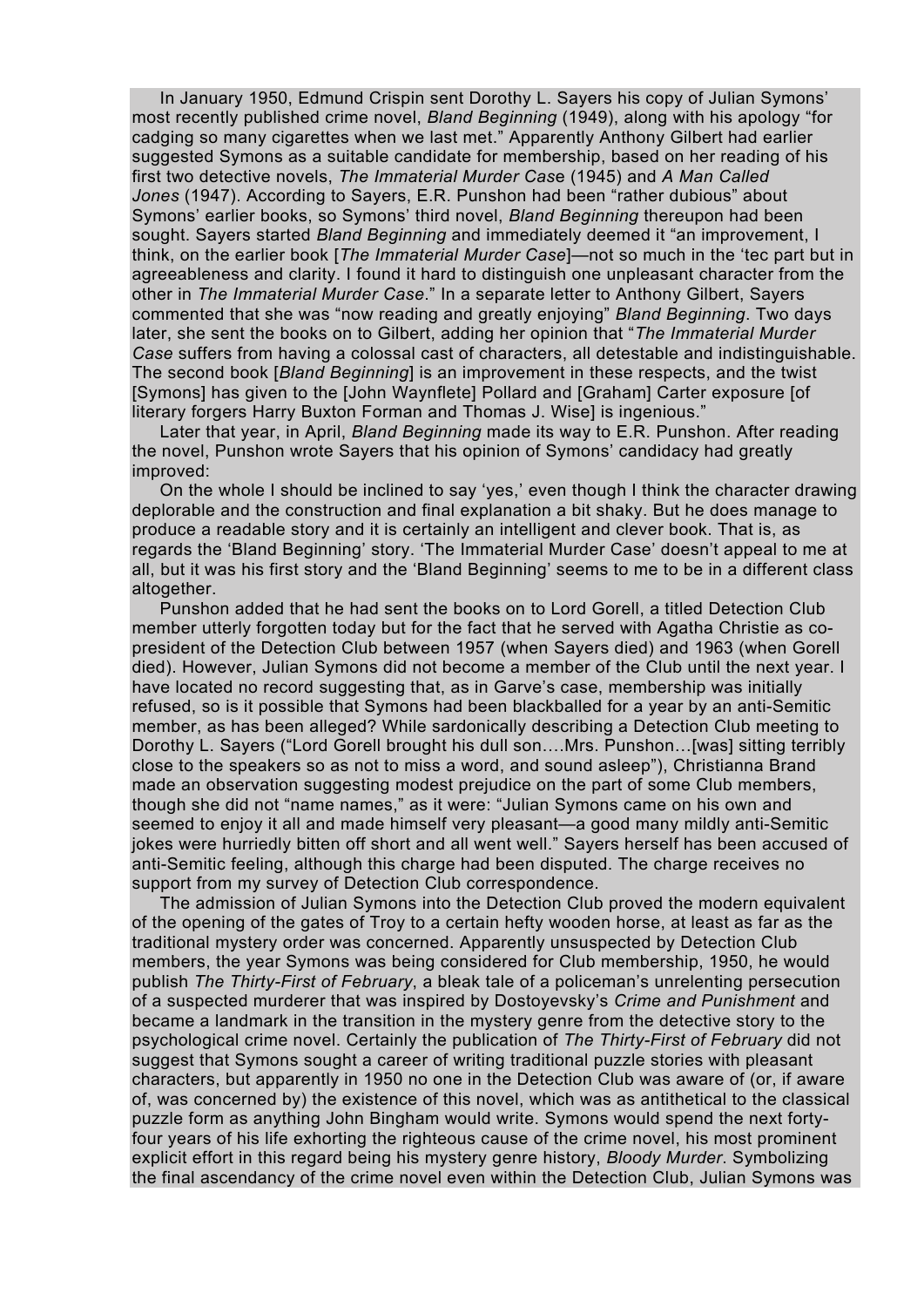In January 1950, Edmund Crispin sent Dorothy L. Sayers his copy of Julian Symons' most recently published crime novel, *Bland Beginning* (1949), along with his apology "for cadging so many cigarettes when we last met." Apparently Anthony Gilbert had earlier suggested Symons as a suitable candidate for membership, based on her reading of his first two detective novels, *The Immaterial Murder Cas*e (1945) and *A Man Called Jones* (1947). According to Sayers, E.R. Punshon had been "rather dubious" about Symons' earlier books, so Symons' third novel, *Bland Beginning* thereupon had been sought. Sayers started *Bland Beginning* and immediately deemed it "an improvement, I think, on the earlier book [*The Immaterial Murder Case*]—not so much in the 'tec part but in agreeableness and clarity. I found it hard to distinguish one unpleasant character from the other in *The Immaterial Murder Case*." In a separate letter to Anthony Gilbert, Sayers commented that she was "now reading and greatly enjoying" *Bland Beginning*. Two days later, she sent the books on to Gilbert, adding her opinion that "*The Immaterial Murder Case* suffers from having a colossal cast of characters, all detestable and indistinguishable. The second book [*Bland Beginning*] is an improvement in these respects, and the twist [Symons] has given to the [John Waynflete] Pollard and [Graham] Carter exposure [of literary forgers Harry Buxton Forman and Thomas J. Wise] is ingenious."

Later that year, in April, *Bland Beginning* made its way to E.R. Punshon. After reading the novel, Punshon wrote Sayers that his opinion of Symons' candidacy had greatly improved:

On the whole I should be inclined to say 'yes,' even though I think the character drawing deplorable and the construction and final explanation a bit shaky. But he does manage to produce a readable story and it is certainly an intelligent and clever book. That is, as regards the 'Bland Beginning' story. 'The Immaterial Murder Case' doesn't appeal to me at all, but it was his first story and the 'Bland Beginning' seems to me to be in a different class altogether.

Punshon added that he had sent the books on to Lord Gorell, a titled Detection Club member utterly forgotten today but for the fact that he served with Agatha Christie as copresident of the Detection Club between 1957 (when Sayers died) and 1963 (when Gorell died). However, Julian Symons did not become a member of the Club until the next year. I have located no record suggesting that, as in Garve's case, membership was initially refused, so is it possible that Symons had been blackballed for a year by an anti-Semitic member, as has been alleged? While sardonically describing a Detection Club meeting to Dorothy L. Sayers ("Lord Gorell brought his dull son….Mrs. Punshon…[was] sitting terribly close to the speakers so as not to miss a word, and sound asleep"), Christianna Brand made an observation suggesting modest prejudice on the part of some Club members, though she did not "name names," as it were: "Julian Symons came on his own and seemed to enjoy it all and made himself very pleasant—a good many mildly anti-Semitic jokes were hurriedly bitten off short and all went well." Sayers herself has been accused of anti-Semitic feeling, although this charge had been disputed. The charge receives no support from my survey of Detection Club correspondence.

The admission of Julian Symons into the Detection Club proved the modern equivalent of the opening of the gates of Troy to a certain hefty wooden horse, at least as far as the traditional mystery order was concerned. Apparently unsuspected by Detection Club members, the year Symons was being considered for Club membership, 1950, he would publish *The Thirty-First of February*, a bleak tale of a policeman's unrelenting persecution of a suspected murderer that was inspired by Dostoyevsky's *Crime and Punishment* and became a landmark in the transition in the mystery genre from the detective story to the psychological crime novel. Certainly the publication of *The Thirty-First of February* did not suggest that Symons sought a career of writing traditional puzzle stories with pleasant characters, but apparently in 1950 no one in the Detection Club was aware of (or, if aware of, was concerned by) the existence of this novel, which was as antithetical to the classical puzzle form as anything John Bingham would write. Symons would spend the next fortyfour years of his life exhorting the righteous cause of the crime novel, his most prominent explicit effort in this regard being his mystery genre history, *Bloody Murder*. Symbolizing the final ascendancy of the crime novel even within the Detection Club, Julian Symons was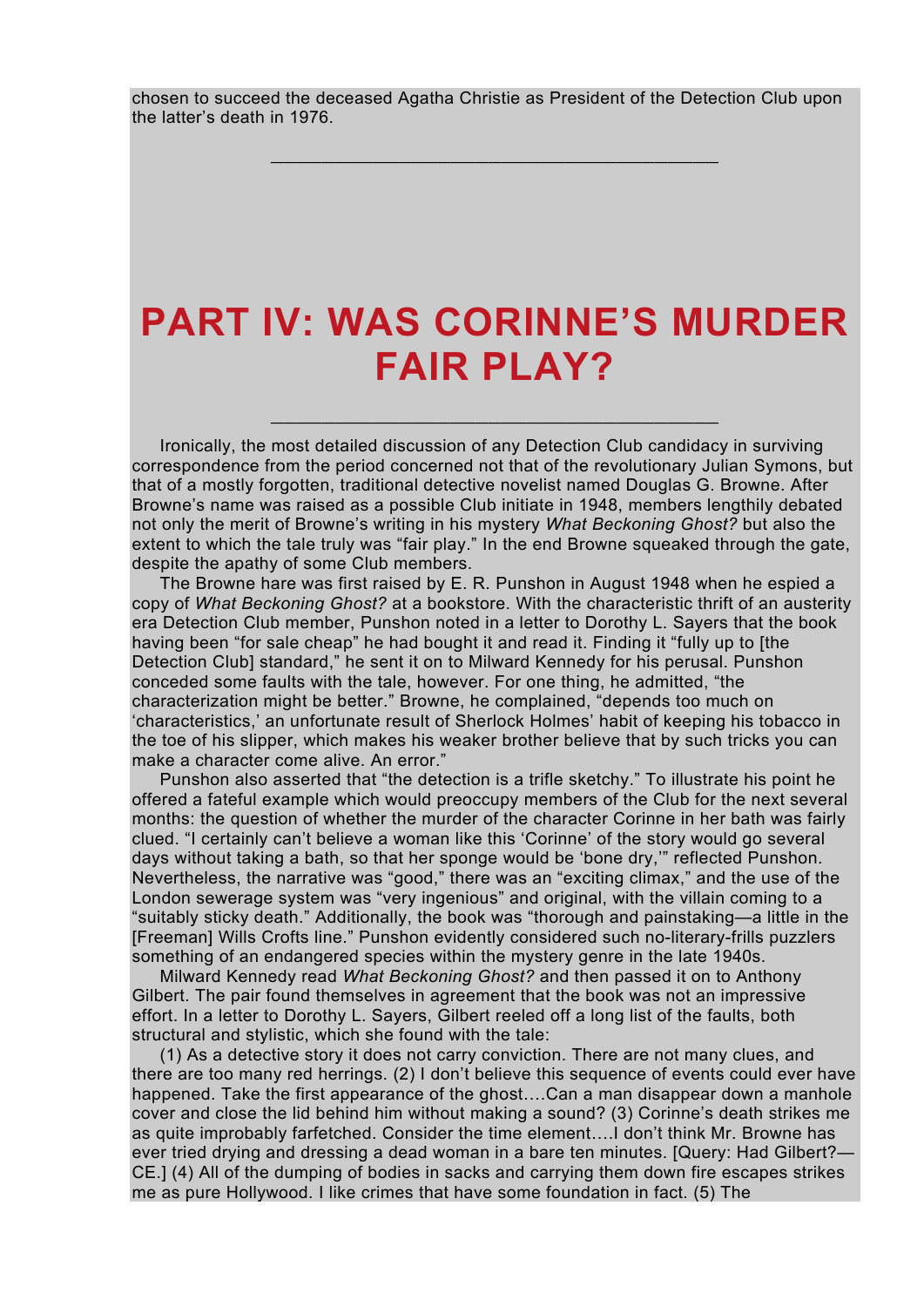chosen to succeed the deceased Agatha Christie as President of the Detection Club upon the latter's death in 1976.

\_\_\_\_\_\_\_\_\_\_\_\_\_\_\_\_\_\_\_\_\_\_\_\_\_\_\_\_\_\_\_\_\_\_\_

## **PART IV: WAS CORINNE'S MURDER FAIR PLAY?**

\_\_\_\_\_\_\_\_\_\_\_\_\_\_\_\_\_\_\_\_\_\_\_\_\_\_\_\_\_\_\_\_\_\_\_

Ironically, the most detailed discussion of any Detection Club candidacy in surviving correspondence from the period concerned not that of the revolutionary Julian Symons, but that of a mostly forgotten, traditional detective novelist named Douglas G. Browne. After Browne's name was raised as a possible Club initiate in 1948, members lengthily debated not only the merit of Browne's writing in his mystery *What Beckoning Ghost?* but also the extent to which the tale truly was "fair play." In the end Browne squeaked through the gate, despite the apathy of some Club members.

The Browne hare was first raised by E. R. Punshon in August 1948 when he espied a copy of *What Beckoning Ghost?* at a bookstore. With the characteristic thrift of an austerity era Detection Club member, Punshon noted in a letter to Dorothy L. Sayers that the book having been "for sale cheap" he had bought it and read it. Finding it "fully up to [the Detection Club] standard," he sent it on to Milward Kennedy for his perusal. Punshon conceded some faults with the tale, however. For one thing, he admitted, "the characterization might be better." Browne, he complained, "depends too much on 'characteristics,' an unfortunate result of Sherlock Holmes' habit of keeping his tobacco in the toe of his slipper, which makes his weaker brother believe that by such tricks you can make a character come alive. An error."

Punshon also asserted that "the detection is a trifle sketchy." To illustrate his point he offered a fateful example which would preoccupy members of the Club for the next several months: the question of whether the murder of the character Corinne in her bath was fairly clued. "I certainly can't believe a woman like this 'Corinne' of the story would go several days without taking a bath, so that her sponge would be 'bone dry,'" reflected Punshon. Nevertheless, the narrative was "good," there was an "exciting climax," and the use of the London sewerage system was "very ingenious" and original, with the villain coming to a "suitably sticky death." Additionally, the book was "thorough and painstaking—a little in the [Freeman] Wills Crofts line." Punshon evidently considered such no-literary-frills puzzlers something of an endangered species within the mystery genre in the late 1940s.

Milward Kennedy read *What Beckoning Ghost?* and then passed it on to Anthony Gilbert. The pair found themselves in agreement that the book was not an impressive effort. In a letter to Dorothy L. Sayers, Gilbert reeled off a long list of the faults, both structural and stylistic, which she found with the tale:

(1) As a detective story it does not carry conviction. There are not many clues, and there are too many red herrings. (2) I don't believe this sequence of events could ever have happened. Take the first appearance of the ghost….Can a man disappear down a manhole cover and close the lid behind him without making a sound? (3) Corinne's death strikes me as quite improbably farfetched. Consider the time element….I don't think Mr. Browne has ever tried drying and dressing a dead woman in a bare ten minutes. [Query: Had Gilbert?— CE.] (4) All of the dumping of bodies in sacks and carrying them down fire escapes strikes me as pure Hollywood. I like crimes that have some foundation in fact. (5) The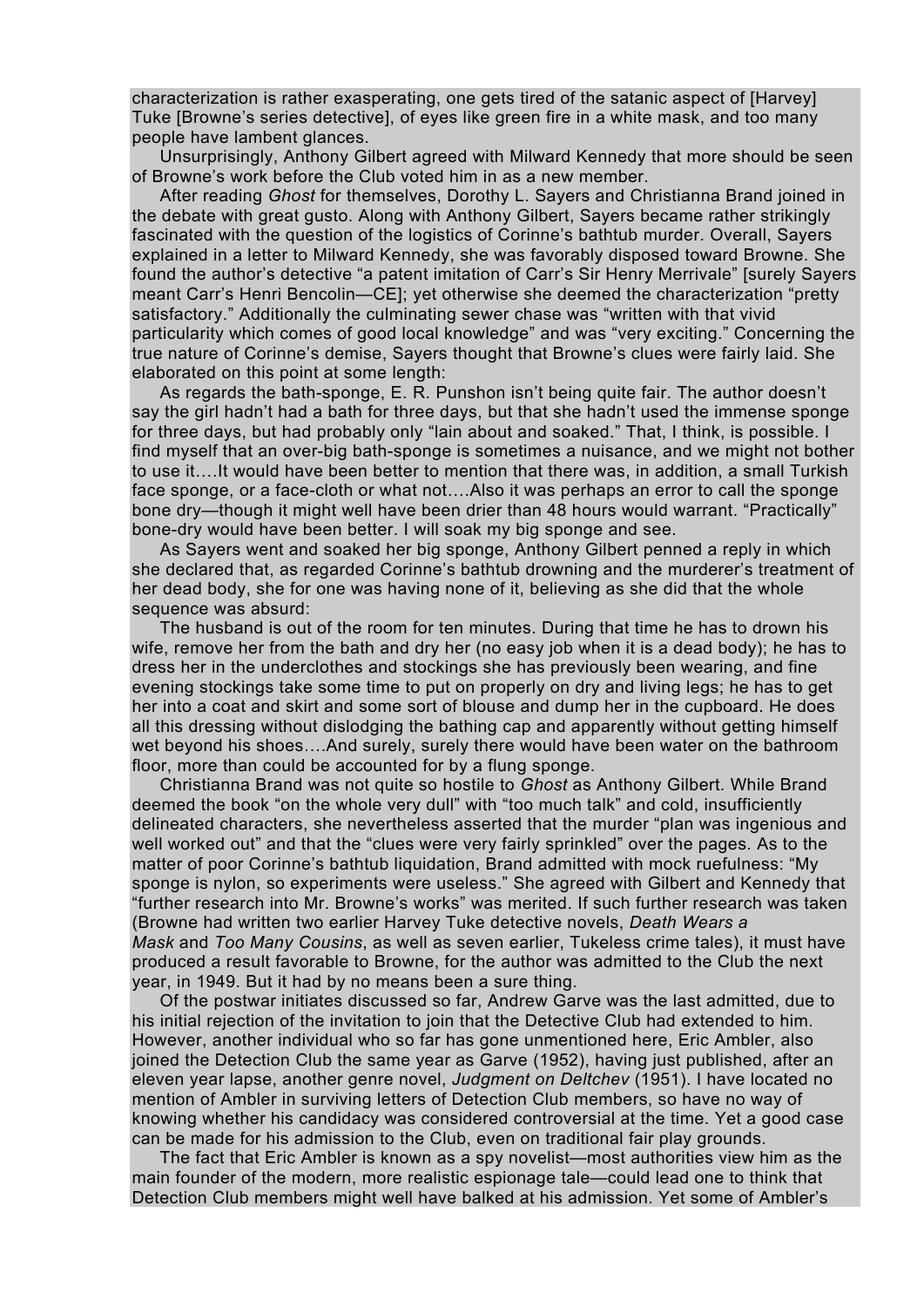characterization is rather exasperating, one gets tired of the satanic aspect of [Harvey] Tuke [Browne's series detective], of eyes like green fire in a white mask, and too many people have lambent glances.

Unsurprisingly, Anthony Gilbert agreed with Milward Kennedy that more should be seen of Browne's work before the Club voted him in as a new member.

After reading *Ghost* for themselves, Dorothy L. Sayers and Christianna Brand joined in the debate with great gusto. Along with Anthony Gilbert, Sayers became rather strikingly fascinated with the question of the logistics of Corinne's bathtub murder. Overall, Sayers explained in a letter to Milward Kennedy, she was favorably disposed toward Browne. She found the author's detective "a patent imitation of Carr's Sir Henry Merrivale" [surely Sayers meant Carr's Henri Bencolin—CE]; yet otherwise she deemed the characterization "pretty satisfactory." Additionally the culminating sewer chase was "written with that vivid particularity which comes of good local knowledge" and was "very exciting." Concerning the true nature of Corinne's demise, Sayers thought that Browne's clues were fairly laid. She elaborated on this point at some length:

As regards the bath-sponge, E. R. Punshon isn't being quite fair. The author doesn't say the girl hadn't had a bath for three days, but that she hadn't used the immense sponge for three days, but had probably only "lain about and soaked." That, I think, is possible. I find myself that an over-big bath-sponge is sometimes a nuisance, and we might not bother to use it….It would have been better to mention that there was, in addition, a small Turkish face sponge, or a face-cloth or what not….Also it was perhaps an error to call the sponge bone dry—though it might well have been drier than 48 hours would warrant. "Practically" bone-dry would have been better. I will soak my big sponge and see.

As Sayers went and soaked her big sponge, Anthony Gilbert penned a reply in which she declared that, as regarded Corinne's bathtub drowning and the murderer's treatment of her dead body, she for one was having none of it, believing as she did that the whole sequence was absurd:

The husband is out of the room for ten minutes. During that time he has to drown his wife, remove her from the bath and dry her (no easy job when it is a dead body); he has to dress her in the underclothes and stockings she has previously been wearing, and fine evening stockings take some time to put on properly on dry and living legs; he has to get her into a coat and skirt and some sort of blouse and dump her in the cupboard. He does all this dressing without dislodging the bathing cap and apparently without getting himself wet beyond his shoes….And surely, surely there would have been water on the bathroom floor, more than could be accounted for by a flung sponge.

Christianna Brand was not quite so hostile to *Ghost* as Anthony Gilbert. While Brand deemed the book "on the whole very dull" with "too much talk" and cold, insufficiently delineated characters, she nevertheless asserted that the murder "plan was ingenious and well worked out" and that the "clues were very fairly sprinkled" over the pages. As to the matter of poor Corinne's bathtub liquidation, Brand admitted with mock ruefulness: "My sponge is nylon, so experiments were useless." She agreed with Gilbert and Kennedy that "further research into Mr. Browne's works" was merited. If such further research was taken (Browne had written two earlier Harvey Tuke detective novels, *Death Wears a Mask* and *Too Many Cousins*, as well as seven earlier, Tukeless crime tales), it must have produced a result favorable to Browne, for the author was admitted to the Club the next year, in 1949. But it had by no means been a sure thing.

Of the postwar initiates discussed so far, Andrew Garve was the last admitted, due to his initial rejection of the invitation to join that the Detective Club had extended to him. However, another individual who so far has gone unmentioned here, Eric Ambler, also joined the Detection Club the same year as Garve (1952), having just published, after an eleven year lapse, another genre novel, *Judgment on Deltchev* (1951). I have located no mention of Ambler in surviving letters of Detection Club members, so have no way of knowing whether his candidacy was considered controversial at the time. Yet a good case can be made for his admission to the Club, even on traditional fair play grounds.

The fact that Eric Ambler is known as a spy novelist—most authorities view him as the main founder of the modern, more realistic espionage tale—could lead one to think that Detection Club members might well have balked at his admission. Yet some of Ambler's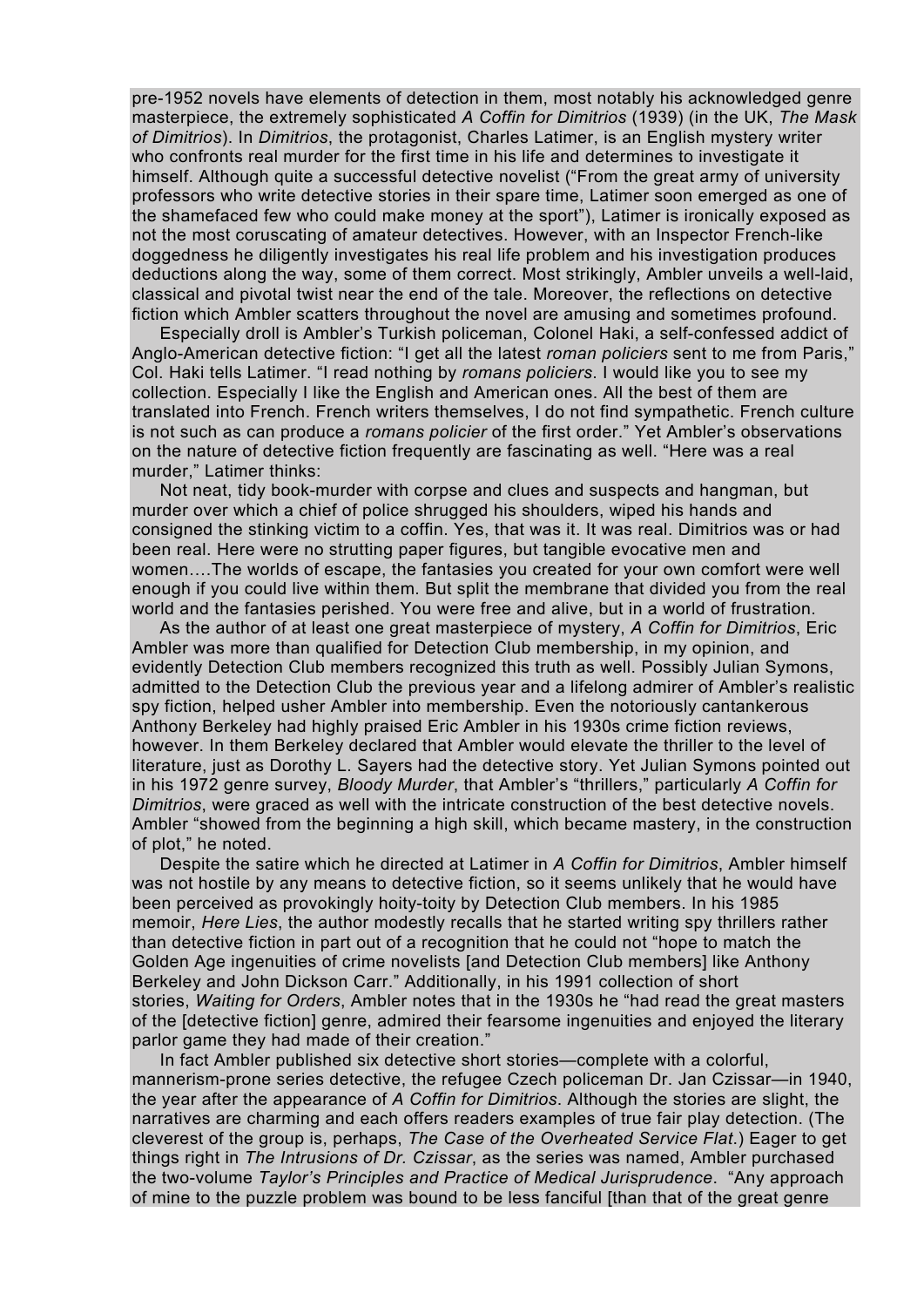pre-1952 novels have elements of detection in them, most notably his acknowledged genre masterpiece, the extremely sophisticated *A Coffin for Dimitrios* (1939) (in the UK, *The Mask of Dimitrios*). In *Dimitrios*, the protagonist, Charles Latimer, is an English mystery writer who confronts real murder for the first time in his life and determines to investigate it himself. Although quite a successful detective novelist ("From the great army of university professors who write detective stories in their spare time, Latimer soon emerged as one of the shamefaced few who could make money at the sport"), Latimer is ironically exposed as not the most coruscating of amateur detectives. However, with an Inspector French-like doggedness he diligently investigates his real life problem and his investigation produces deductions along the way, some of them correct. Most strikingly, Ambler unveils a well-laid, classical and pivotal twist near the end of the tale. Moreover, the reflections on detective fiction which Ambler scatters throughout the novel are amusing and sometimes profound.

Especially droll is Ambler's Turkish policeman, Colonel Haki, a self-confessed addict of Anglo-American detective fiction: "I get all the latest *roman policiers* sent to me from Paris," Col. Haki tells Latimer. "I read nothing by *romans policiers*. I would like you to see my collection. Especially I like the English and American ones. All the best of them are translated into French. French writers themselves, I do not find sympathetic. French culture is not such as can produce a *romans policier* of the first order." Yet Ambler's observations on the nature of detective fiction frequently are fascinating as well. "Here was a real murder," Latimer thinks:

Not neat, tidy book-murder with corpse and clues and suspects and hangman, but murder over which a chief of police shrugged his shoulders, wiped his hands and consigned the stinking victim to a coffin. Yes, that was it. It was real. Dimitrios was or had been real. Here were no strutting paper figures, but tangible evocative men and women….The worlds of escape, the fantasies you created for your own comfort were well enough if you could live within them. But split the membrane that divided you from the real world and the fantasies perished. You were free and alive, but in a world of frustration.

As the author of at least one great masterpiece of mystery, *A Coffin for Dimitrios*, Eric Ambler was more than qualified for Detection Club membership, in my opinion, and evidently Detection Club members recognized this truth as well. Possibly Julian Symons, admitted to the Detection Club the previous year and a lifelong admirer of Ambler's realistic spy fiction, helped usher Ambler into membership. Even the notoriously cantankerous Anthony Berkeley had highly praised Eric Ambler in his 1930s crime fiction reviews, however. In them Berkeley declared that Ambler would elevate the thriller to the level of literature, just as Dorothy L. Sayers had the detective story. Yet Julian Symons pointed out in his 1972 genre survey, *Bloody Murder*, that Ambler's "thrillers," particularly *A Coffin for Dimitrios*, were graced as well with the intricate construction of the best detective novels. Ambler "showed from the beginning a high skill, which became mastery, in the construction of plot," he noted.

Despite the satire which he directed at Latimer in *A Coffin for Dimitrios*, Ambler himself was not hostile by any means to detective fiction, so it seems unlikely that he would have been perceived as provokingly hoity-toity by Detection Club members. In his 1985 memoir, *Here Lies*, the author modestly recalls that he started writing spy thrillers rather than detective fiction in part out of a recognition that he could not "hope to match the Golden Age ingenuities of crime novelists [and Detection Club members] like Anthony Berkeley and John Dickson Carr." Additionally, in his 1991 collection of short stories, *Waiting for Orders*, Ambler notes that in the 1930s he "had read the great masters of the [detective fiction] genre, admired their fearsome ingenuities and enjoyed the literary parlor game they had made of their creation."

In fact Ambler published six detective short stories—complete with a colorful, mannerism-prone series detective, the refugee Czech policeman Dr. Jan Czissar—in 1940, the year after the appearance of *A Coffin for Dimitrios*. Although the stories are slight, the narratives are charming and each offers readers examples of true fair play detection. (The cleverest of the group is, perhaps, *The Case of the Overheated Service Flat*.) Eager to get things right in *The Intrusions of Dr. Czissar*, as the series was named, Ambler purchased the two-volume *Taylor's Principles and Practice of Medical Jurisprudence*. "Any approach of mine to the puzzle problem was bound to be less fanciful [than that of the great genre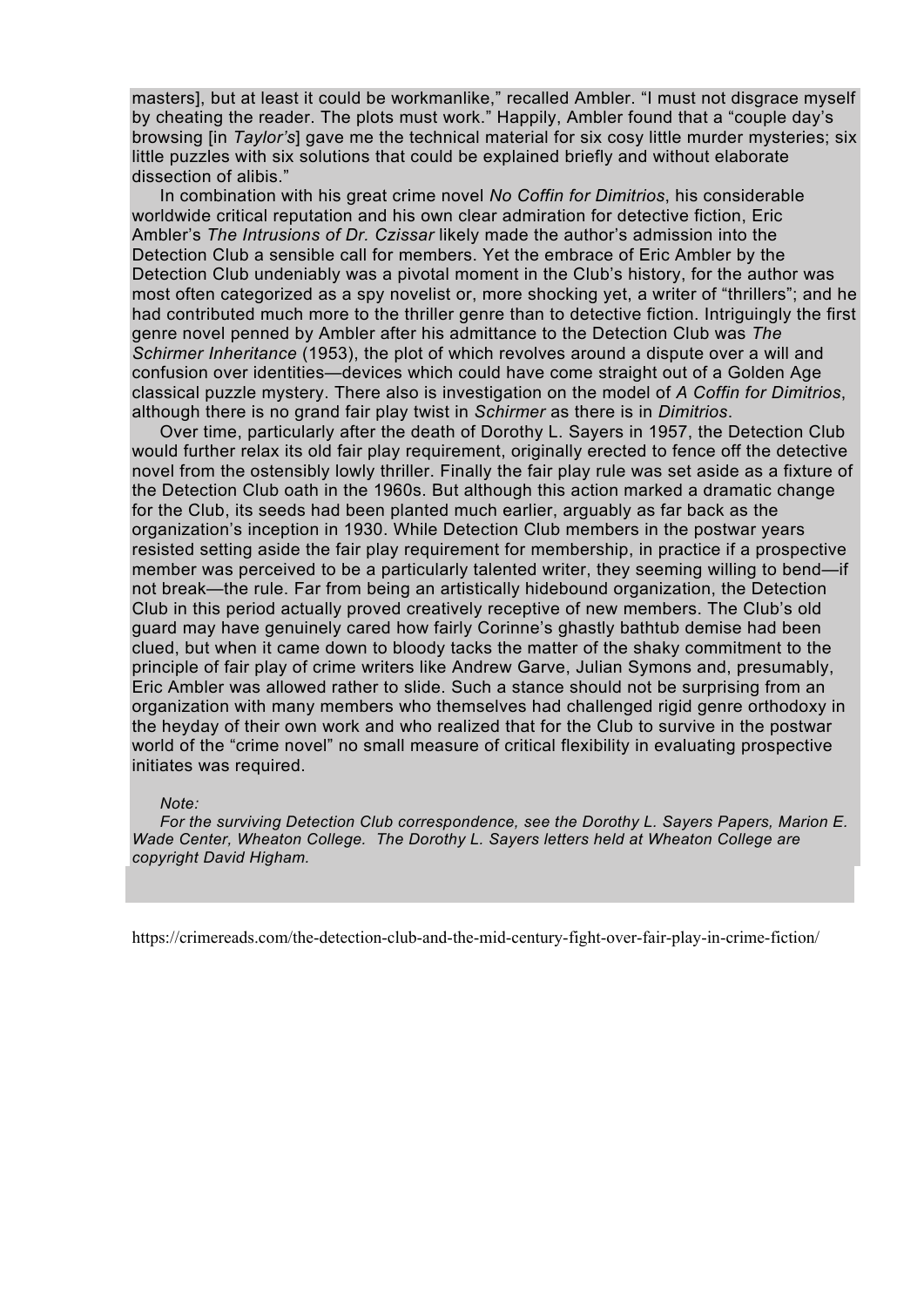masters], but at least it could be workmanlike," recalled Ambler. "I must not disgrace myself by cheating the reader. The plots must work." Happily, Ambler found that a "couple day's browsing [in *Taylor's*] gave me the technical material for six cosy little murder mysteries; six little puzzles with six solutions that could be explained briefly and without elaborate dissection of alibis."

In combination with his great crime novel *No Coffin for Dimitrios*, his considerable worldwide critical reputation and his own clear admiration for detective fiction, Eric Ambler's *The Intrusions of Dr. Czissar* likely made the author's admission into the Detection Club a sensible call for members. Yet the embrace of Eric Ambler by the Detection Club undeniably was a pivotal moment in the Club's history, for the author was most often categorized as a spy novelist or, more shocking yet, a writer of "thrillers"; and he had contributed much more to the thriller genre than to detective fiction. Intriguingly the first genre novel penned by Ambler after his admittance to the Detection Club was *The Schirmer Inheritance* (1953), the plot of which revolves around a dispute over a will and confusion over identities—devices which could have come straight out of a Golden Age classical puzzle mystery. There also is investigation on the model of *A Coffin for Dimitrios*, although there is no grand fair play twist in *Schirmer* as there is in *Dimitrios*.

Over time, particularly after the death of Dorothy L. Sayers in 1957, the Detection Club would further relax its old fair play requirement, originally erected to fence off the detective novel from the ostensibly lowly thriller. Finally the fair play rule was set aside as a fixture of the Detection Club oath in the 1960s. But although this action marked a dramatic change for the Club, its seeds had been planted much earlier, arguably as far back as the organization's inception in 1930. While Detection Club members in the postwar years resisted setting aside the fair play requirement for membership, in practice if a prospective member was perceived to be a particularly talented writer, they seeming willing to bend—if not break—the rule. Far from being an artistically hidebound organization, the Detection Club in this period actually proved creatively receptive of new members. The Club's old guard may have genuinely cared how fairly Corinne's ghastly bathtub demise had been clued, but when it came down to bloody tacks the matter of the shaky commitment to the principle of fair play of crime writers like Andrew Garve, Julian Symons and, presumably, Eric Ambler was allowed rather to slide. Such a stance should not be surprising from an organization with many members who themselves had challenged rigid genre orthodoxy in the heyday of their own work and who realized that for the Club to survive in the postwar world of the "crime novel" no small measure of critical flexibility in evaluating prospective initiates was required.

#### *Note:*

*For the surviving Detection Club correspondence, see the Dorothy L. Sayers Papers, Marion E. Wade Center, Wheaton College. The Dorothy L. Sayers letters held at Wheaton College are copyright David Higham.*

https://crimereads.com/the-detection-club-and-the-mid-century-fight-over-fair-play-in-crime-fiction/